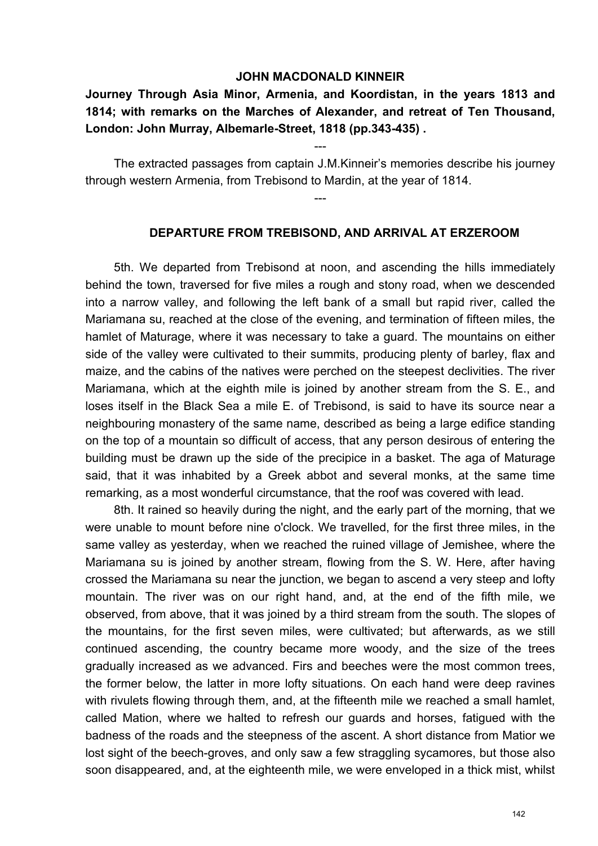### **JOHN MACDONALD KINNEIR**

# **Journey Through Asia Minor, Armenia, and Koordistan, in the years 1813 and 1814; with remarks on the Marches of Alexander, and retreat of Ten Thousand, London: John Murray, Albemarle-Street, 1818 (pp.343-435) .**

The extracted passages from captain J.M.Kinneir's memories describe his journey through western Armenia, from Trebisond to Mardin, at the year of 1814.

---

---

#### **DEPARTURE FROM TREBISOND, AND ARRIVAL AT ERZEROOM**

5th. We departed from Trebisond at noon, and ascending the hills immediately behind the town, traversed for five miles a rough and stony road, when we descended into a narrow valley, and following the left bank of a small but rapid river, called the Mariamana su, reached at the close of the evening, and termination of fifteen miles, the hamlet of Maturage, where it was necessary to take a guard. The mountains on either side of the valley were cultivated to their summits, producing plenty of barley, flax and maize, and the cabins of the natives were perched on the steepest declivities. The river Mariamana, which at the eighth mile is joined by another stream from the S. E., and loses itself in the Black Sea a mile E. of Trebisond, is said to have its source near a neighbouring monastery of the same name, described as being a large edifice standing on the top of a mountain so difficult of access, that any person desirous of entering the building must be drawn up the side of the precipice in a basket. The aga of Maturage said, that it was inhabited by a Greek abbot and several monks, at the same time remarking, as a most wonderful circumstance, that the roof was covered with lead.

8th. It rained so heavily during the night, and the early part of the morning, that we were unable to mount before nine o'clock. We travelled, for the first three miles, in the same valley as yesterday, when we reached the ruined village of Jemishee, where the Mariamana su is joined by another stream, flowing from the S. W. Here, after having crossed the Mariamana su near the junction, we began to ascend a very steep and lofty mountain. The river was on our right hand, and, at the end of the fifth mile, we observed, from above, that it was joined by a third stream from the south. The slopes of the mountains, for the first seven miles, were cultivated; but afterwards, as we still continued ascending, the country became more woody, and the size of the trees gradually increased as we advanced. Firs and beeches were the most common trees, the former below, the latter in more lofty situations. On each hand were deep ravines with rivulets flowing through them, and, at the fifteenth mile we reached a small hamlet, called Mation, where we halted to refresh our guards and horses, fatigued with the badness of the roads and the steepness of the ascent. A short distance from Matior we lost sight of the beech-groves, and only saw a few straggling sycamores, but those also soon disappeared, and, at the eighteenth mile, we were enveloped in a thick mist, whilst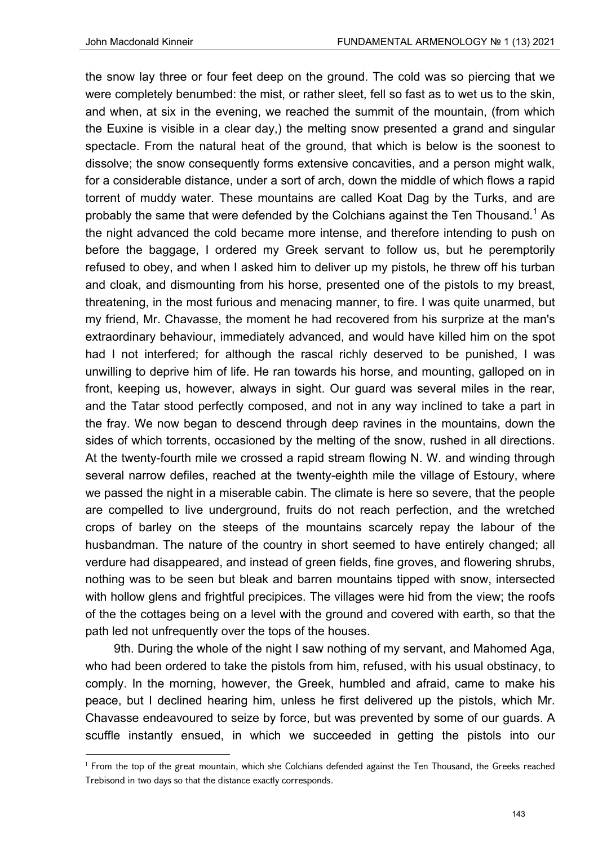the snow lay three or four feet deep on the ground. The cold was so piercing that we were completely benumbed: the mist, or rather sleet, fell so fast as to wet us to the skin, and when, at six in the evening, we reached the summit of the mountain, (from which the Euxine is visible in a clear day,) the melting snow presented a grand and singular spectacle. From the natural heat of the ground, that which is below is the soonest to dissolve; the snow consequently forms extensive concavities, and a person might walk, for a considerable distance, under a sort of arch, down the middle of which flows a rapid torrent of muddy water. These mountains are called Koat Dag by the Turks, and are probably the same that were defended by the Colchians against the Ten Thousand. $^{\rm 1}$  As the night advanced the cold became more intense, and therefore intending to push on before the baggage, I ordered my Greek servant to follow us, but he peremptorily refused to obey, and when I asked him to deliver up my pistols, he threw off his turban and cloak, and dismounting from his horse, presented one of the pistols to my breast, threatening, in the most furious and menacing manner, to fire. I was quite unarmed, but my friend, Mr. Chavasse, the moment he had recovered from his surprize at the man's extraordinary behaviour, immediately advanced, and would have killed him on the spot had I not interfered; for although the rascal richly deserved to be punished, I was unwilling to deprive him of life. He ran towards his horse, and mounting, galloped on in front, keeping us, however, always in sight. Our guard was several miles in the rear, and the Tatar stood perfectly composed, and not in any way inclined to take a part in the fray. We now began to descend through deep ravines in the mountains, down the sides of which torrents, occasioned by the melting of the snow, rushed in all directions. At the twenty-fourth mile we crossed a rapid stream flowing N. W. and winding through several narrow defiles, reached at the twenty-eighth mile the village of Estoury, where we passed the night in a miserable cabin. The climate is here so severe, that the people are compelled to live underground, fruits do not reach perfection, and the wretched crops of barley on the steeps of the mountains scarcely repay the labour of the husbandman. The nature of the country in short seemed to have entirely changed; all verdure had disappeared, and instead of green fields, fine groves, and flowering shrubs, nothing was to be seen but bleak and barren mountains tipped with snow, intersected with hollow glens and frightful precipices. The villages were hid from the view; the roofs of the the cottages being on a level with the ground and covered with earth, so that the path led not unfrequently over the tops of the houses.

9th. During the whole of the night I saw nothing of my servant, and Mahomed Aga, who had been ordered to take the pistols from him, refused, with his usual obstinacy, to comply. In the morning, however, the Greek, humbled and afraid, came to make his peace, but I declined hearing him, unless he first delivered up the pistols, which Mr. Chavasse endeavoured to seize by force, but was prevented by some of our guards. A scuffle instantly ensued, in which we succeeded in getting the pistols into our

<sup>1</sup> From the top of the great mountain, which she Colchians defended against the Ten Thousand, the Greeks reached Trebisond in two days so that the distance exactly corresponds.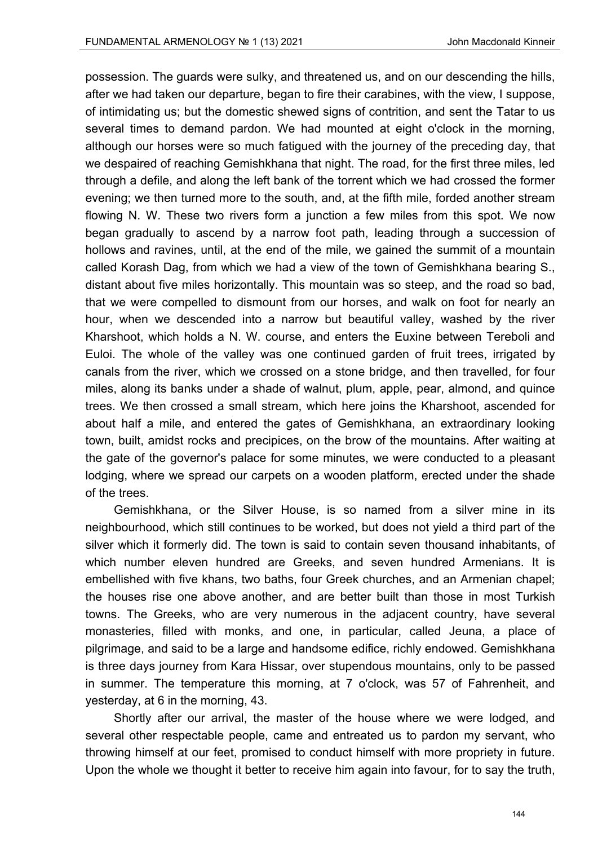possession. The guards were sulky, and threatened us, and on our descending the hills, after we had taken our departure, began to fire their carabines, with the view, I suppose, of intimidating us; but the domestic shewed signs of contrition, and sent the Tatar to us several times to demand pardon. We had mounted at eight o'clock in the morning, although our horses were so much fatigued with the journey of the preceding day, that we despaired of reaching Gemishkhana that night. The road, for the first three miles, led through a defile, and along the left bank of the torrent which we had crossed the former evening; we then turned more to the south, and, at the fifth mile, forded another stream flowing N. W. These two rivers form a junction a few miles from this spot. We now began gradually to ascend by a narrow foot path, leading through a succession of hollows and ravines, until, at the end of the mile, we gained the summit of a mountain called Korash Dag, from which we had a view of the town of Gemishkhana bearing S., distant about five miles horizontally. This mountain was so steep, and the road so bad, that we were compelled to dismount from our horses, and walk on foot for nearly an hour, when we descended into a narrow but beautiful valley, washed by the river Kharshoot, which holds a N. W. course, and enters the Euxine between Tereboli and Euloi. The whole of the valley was one continued garden of fruit trees, irrigated by canals from the river, which we crossed on a stone bridge, and then travelled, for four miles, along its banks under a shade of walnut, plum, apple, pear, almond, and quince trees. We then crossed a small stream, which here joins the Kharshoot, ascended for about half a mile, and entered the gates of Gemishkhana, an extraordinary looking town, built, amidst rocks and precipices, on the brow of the mountains. After waiting at the gate of the governor's palace for some minutes, we were conducted to a pleasant lodging, where we spread our carpets on a wooden platform, erected under the shade of the trees.

Gemishkhana, or the Silver House, is so named from a silver mine in its neighbourhood, which still continues to be worked, but does not yield a third part of the silver which it formerly did. The town is said to contain seven thousand inhabitants, of which number eleven hundred are Greeks, and seven hundred Armenians. It is embellished with five khans, two baths, four Greek churches, and an Armenian chapel; the houses rise one above another, and are better built than those in most Turkish towns. The Greeks, who are very numerous in the adjacent country, have several monasteries, filled with monks, and one, in particular, called Jeuna, a place of pilgrimage, and said to be a large and handsome edifice, richly endowed. Gemishkhana is three days journey from Kara Hissar, over stupendous mountains, only to be passed in summer. The temperature this morning, at 7 o'clock, was 57 of Fahrenheit, and yesterday, at 6 in the morning, 43.

Shortly after our arrival, the master of the house where we were lodged, and several other respectable people, came and entreated us to pardon my servant, who throwing himself at our feet, promised to conduct himself with more propriety in future. Upon the whole we thought it better to receive him again into favour, for to say the truth,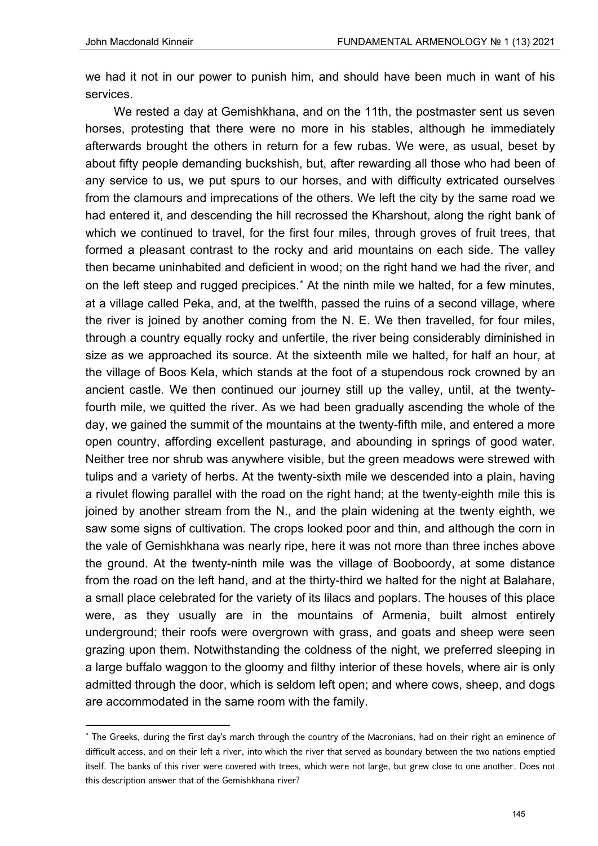we had it not in our power to punish him, and should have been much in want of his services.

We rested a day at Gemishkhana, and on the 11th, the postmaster sent us seven horses, protesting that there were no more in his stables, although he immediately afterwards brought the others in return for a few rubas. We were, as usual, beset by about fifty people demanding buckshish, but, after rewarding all those who had been of any service to us, we put spurs to our horses, and with difficulty extricated ourselves from the clamours and imprecations of the others. We left the city by the same road we had entered it, and descending the hill recrossed the Kharshout, along the right bank of which we continued to travel, for the first four miles, through groves of fruit trees, that formed a pleasant contrast to the rocky and arid mountains on each side. The valley then became uninhabited and deficient in wood; on the right hand we had the river, and on the left steep and rugged precipices.<sup>\*</sup> At the ninth mile we halted, for a few minutes, at a village called Peka, and, at the twelfth, passed the ruins of a second village, where the river is joined by another coming from the N. E. We then travelled, for four miles, through a country equally rocky and unfertile, the river being considerably diminished in size as we approached its source. At the sixteenth mile we halted, for half an hour, at the village of Boos Kela, which stands at the foot of a stupendous rock crowned by an ancient castle. We then continued our journey still up the valley, until, at the twentyfourth mile, we quitted the river. As we had been gradually ascending the whole of the day, we gained the summit of the mountains at the twenty-fifth mile, and entered a more open country, affording excellent pasturage, and abounding in springs of good water. Neither tree nor shrub was anywhere visible, but the green meadows were strewed with tulips and a variety of herbs. At the twenty-sixth mile we descended into a plain, having a rivulet flowing parallel with the road on the right hand; at the twenty-eighth mile this is joined by another stream from the N., and the plain widening at the twenty eighth, we saw some signs of cultivation. The crops looked poor and thin, and although the corn in the vale of Gemishkhana was nearly ripe, here it was not more than three inches above the ground. At the twenty-ninth mile was the village of Booboordy, at some distance from the road on the left hand, and at the thirty-third we halted for the night at Balahare, a small place celebrated for the variety of its lilacs and poplars. The houses of this place were, as they usually are in the mountains of Armenia, built almost entirely underground; their roofs were overgrown with grass, and goats and sheep were seen grazing upon them. Notwithstanding the coldness of the night, we preferred sleeping in a large buffalo waggon to the gloomy and filthy interior of these hovels, where air is only admitted through the door, which is seldom left open; and where cows, sheep, and dogs are accommodated in the same room with the family.

<sup>\*</sup> The Greeks, during the first day's march through the country of the Macronians, had on their right an eminence of difficult access, and on their left a river, into which the river that served as boundary between the two nations emptied itself. The banks of this river were covered with trees, which were not large, but grew close to one another. Does not this description answer that of the Gemishkhana river?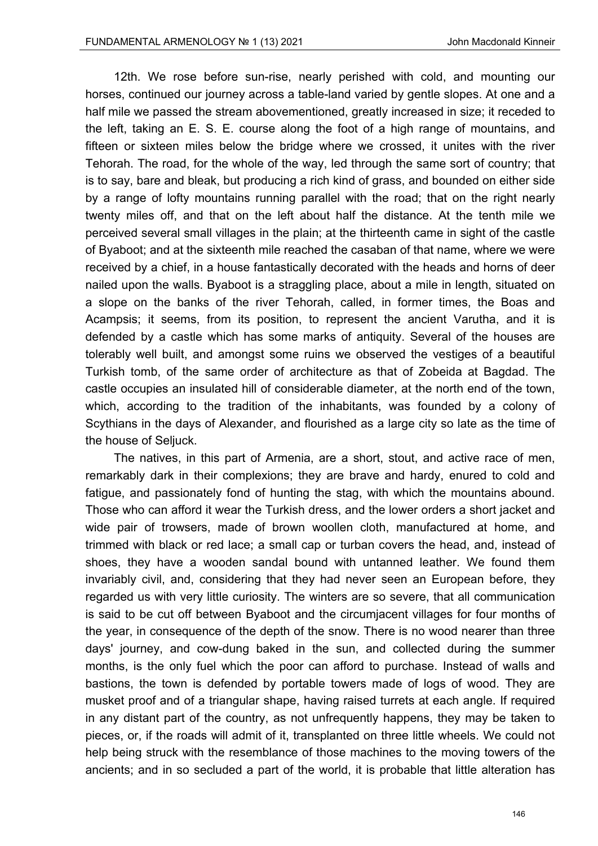12th. We rose before sun-rise, nearly perished with cold, and mounting our horses, continued our journey across a table-land varied by gentle slopes. At one and a half mile we passed the stream abovementioned, greatly increased in size; it receded to the left, taking an E. S. E. course along the foot of a high range of mountains, and fifteen or sixteen miles below the bridge where we crossed, it unites with the river Tehorah. The road, for the whole of the way, led through the same sort of country; that is to say, bare and bleak, but producing a rich kind of grass, and bounded on either side by a range of lofty mountains running parallel with the road; that on the right nearly twenty miles off, and that on the left about half the distance. At the tenth mile we perceived several small villages in the plain; at the thirteenth came in sight of the castle of Byaboot; and at the sixteenth mile reached the casaban of that name, where we were received by a chief, in a house fantastically decorated with the heads and horns of deer nailed upon the walls. Byaboot is a straggling place, about a mile in length, situated on a slope on the banks of the river Tehorah, called, in former times, the Boas and Acampsis; it seems, from its position, to represent the ancient Varutha, and it is defended by a castle which has some marks of antiquity. Several of the houses are tolerably well built, and amongst some ruins we observed the vestiges of a beautiful Turkish tomb, of the same order of architecture as that of Zobeida at Bagdad. The castle occupies an insulated hill of considerable diameter, at the north end of the town, which, according to the tradition of the inhabitants, was founded by a colony of Scythians in the days of Alexander, and flourished as a large city so late as the time of the house of Seljuck.

The natives, in this part of Armenia, are a short, stout, and active race of men, remarkably dark in their complexions; they are brave and hardy, enured to cold and fatigue, and passionately fond of hunting the stag, with which the mountains abound. Those who can afford it wear the Turkish dress, and the lower orders a short jacket and wide pair of trowsers, made of brown woollen cloth, manufactured at home, and trimmed with black or red lace; a small cap or turban covers the head, and, instead of shoes, they have a wooden sandal bound with untanned leather. We found them invariably civil, and, considering that they had never seen an European before, they regarded us with very little curiosity. The winters are so severe, that all communication is said to be cut off between Byaboot and the circumjacent villages for four months of the year, in consequence of the depth of the snow. There is no wood nearer than three days' journey, and cow-dung baked in the sun, and collected during the summer months, is the only fuel which the poor can afford to purchase. Instead of walls and bastions, the town is defended by portable towers made of logs of wood. They are musket proof and of a triangular shape, having raised turrets at each angle. If required in any distant part of the country, as not unfrequently happens, they may be taken to pieces, or, if the roads will admit of it, transplanted on three little wheels. We could not help being struck with the resemblance of those machines to the moving towers of the ancients; and in so secluded a part of the world, it is probable that little alteration has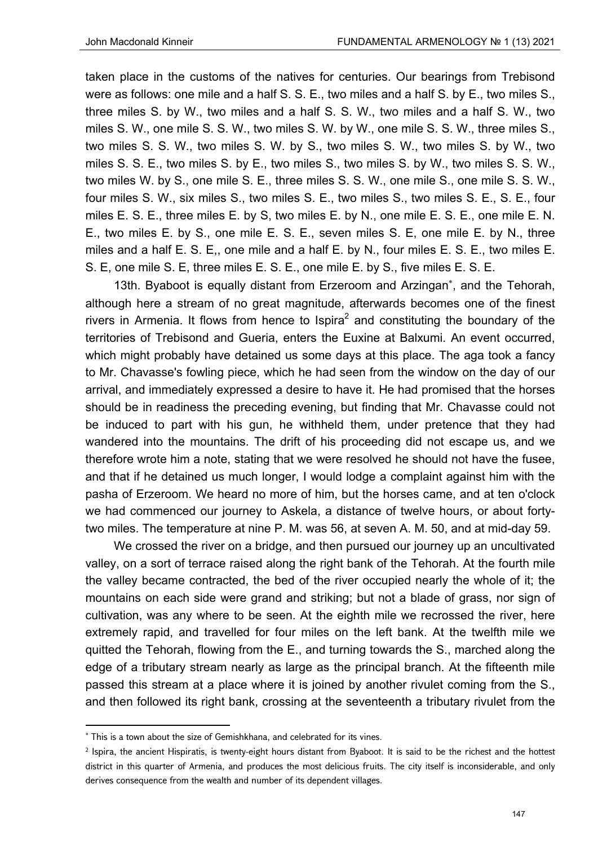taken place in the customs of the natives for centuries. Our bearings from Trebisond were as follows: one mile and a half S. S. E., two miles and a half S. by E., two miles S., three miles S. by W., two miles and a half S. S. W., two miles and a half S. W., two miles S. W., one mile S. S. W., two miles S. W. by W., one mile S. S. W., three miles S., two miles S. S. W., two miles S. W. by S., two miles S. W., two miles S. by W., two miles S. S. E., two miles S. by E., two miles S., two miles S. by W., two miles S. S. W., two miles W. by S., one mile S. E., three miles S. S. W., one mile S., one mile S. S. W., four miles S. W., six miles S., two miles S. E., two miles S., two miles S. E., S. E., four miles E. S. E., three miles E. by S, two miles E. by N., one mile E. S. E., one mile E. N. E., two miles E. by S., one mile E. S. E., seven miles S. E, one mile E. by N., three miles and a half E. S. E,, one mile and a half E. by N., four miles E. S. E., two miles E. S. E, one mile S. E, three miles E. S. E., one mile E. by S., five miles E. S. E.

13th. Byaboot is equally distant from Erzeroom and Arzingan<sup>\*</sup>, and the Tehorah, although here a stream of no great magnitude, afterwards becomes one of the finest rivers in Armenia. It flows from hence to Ispira<sup>2</sup> and constituting the boundary of the territories of Trebisond and Gueria, enters the Euxine at Balxumi. An event occurred, which might probably have detained us some days at this place. The aga took a fancy to Mr. Chavasse's fowling piece, which he had seen from the window on the day of our arrival, and immediately expressed a desire to have it. He had promised that the horses should be in readiness the preceding evening, but finding that Mr. Chavasse could not be induced to part with his gun, he withheld them, under pretence that they had wandered into the mountains. The drift of his proceeding did not escape us, and we therefore wrote him a note, stating that we were resolved he should not have the fusee, and that if he detained us much longer, I would lodge a complaint against him with the pasha of Erzeroom. We heard no more of him, but the horses came, and at ten o'clock we had commenced our journey to Askela, a distance of twelve hours, or about fortytwo miles. The temperature at nine P. M. was 56, at seven A. M. 50, and at mid-day 59.

We crossed the river on a bridge, and then pursued our journey up an uncultivated valley, on a sort of terrace raised along the right bank of the Tehorah. At the fourth mile the valley became contracted, the bed of the river occupied nearly the whole of it; the mountains on each side were grand and striking; but not a blade of grass, nor sign of cultivation, was any where to be seen. At the eighth mile we recrossed the river, here extremely rapid, and travelled for four miles on the left bank. At the twelfth mile we quitted the Tehorah, flowing from the E., and turning towards the S., marched along the edge of a tributary stream nearly as large as the principal branch. At the fifteenth mile passed this stream at a place where it is joined by another rivulet coming from the S., and then followed its right bank, crossing at the seventeenth a tributary rivulet from the

 This is a town about the size of Gemishkhana, and celebrated for its vines.

<sup>2</sup> Ispira, the ancient Hispiratis, is twenty-eight hours distant from Byaboot. It is said to be the richest and the hottest district in this quarter of Armenia, and produces the most delicious fruits. The city itself is inconsiderable, and only derives consequence from the wealth and number of its dependent villages.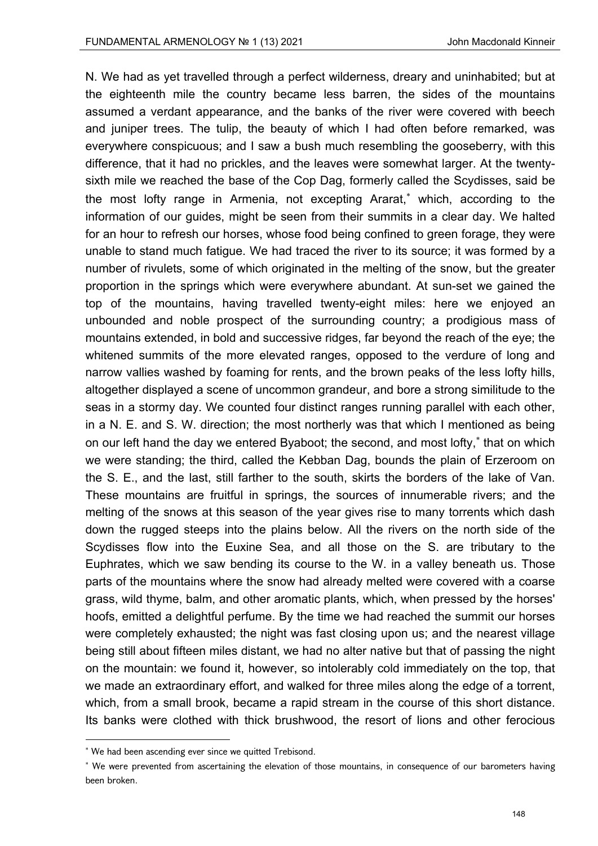N. We had as yet travelled through a perfect wilderness, dreary and uninhabited; but at the eighteenth mile the country became less barren, the sides of the mountains assumed a verdant appearance, and the banks of the river were covered with beech and juniper trees. The tulip, the beauty of which I had often before remarked, was everywhere conspicuous; and I saw a bush much resembling the gooseberry, with this difference, that it had no prickles, and the leaves were somewhat larger. At the twentysixth mile we reached the base of the Cop Dag, formerly called the Scydisses, said be the most lofty range in Armenia, not excepting Ararat, which, according to the information of our guides, might be seen from their summits in a clear day. We halted for an hour to refresh our horses, whose food being confined to green forage, they were unable to stand much fatigue. We had traced the river to its source; it was formed by a number of rivulets, some of which originated in the melting of the snow, but the greater proportion in the springs which were everywhere abundant. At sun-set we gained the top of the mountains, having travelled twenty-eight miles: here we enjoyed an unbounded and noble prospect of the surrounding country; a prodigious mass of mountains extended, in bold and successive ridges, far beyond the reach of the eye; the whitened summits of the more elevated ranges, opposed to the verdure of long and narrow vallies washed by foaming for rents, and the brown peaks of the less lofty hills, altogether displayed a scene of uncommon grandeur, and bore a strong similitude to the seas in a stormy day. We counted four distinct ranges running parallel with each other, in a N. E. and S. W. direction; the most northerly was that which I mentioned as being on our left hand the day we entered Byaboot; the second, and most lofty, that on which we were standing; the third, called the Kebban Dag, bounds the plain of Erzeroom on the S. E., and the last, still farther to the south, skirts the borders of the lake of Van. These mountains are fruitful in springs, the sources of innumerable rivers; and the melting of the snows at this season of the year gives rise to many torrents which dash down the rugged steeps into the plains below. All the rivers on the north side of the Scydisses flow into the Euxine Sea, and all those on the S. are tributary to the Euphrates, which we saw bending its course to the W. in a valley beneath us. Those parts of the mountains where the snow had already melted were covered with a coarse grass, wild thyme, balm, and other aromatic plants, which, when pressed by the horses' hoofs, emitted a delightful perfume. By the time we had reached the summit our horses were completely exhausted; the night was fast closing upon us; and the nearest village being still about fifteen miles distant, we had no alter native but that of passing the night on the mountain: we found it, however, so intolerably cold immediately on the top, that we made an extraordinary effort, and walked for three miles along the edge of a torrent, which, from a small brook, became a rapid stream in the course of this short distance. Its banks were clothed with thick brushwood, the resort of lions and other ferocious

 We had been ascending ever since we quitted Trebisond.

<sup>\*</sup> We were prevented from ascertaining the elevation of those mountains, in consequence of our barometers having been broken.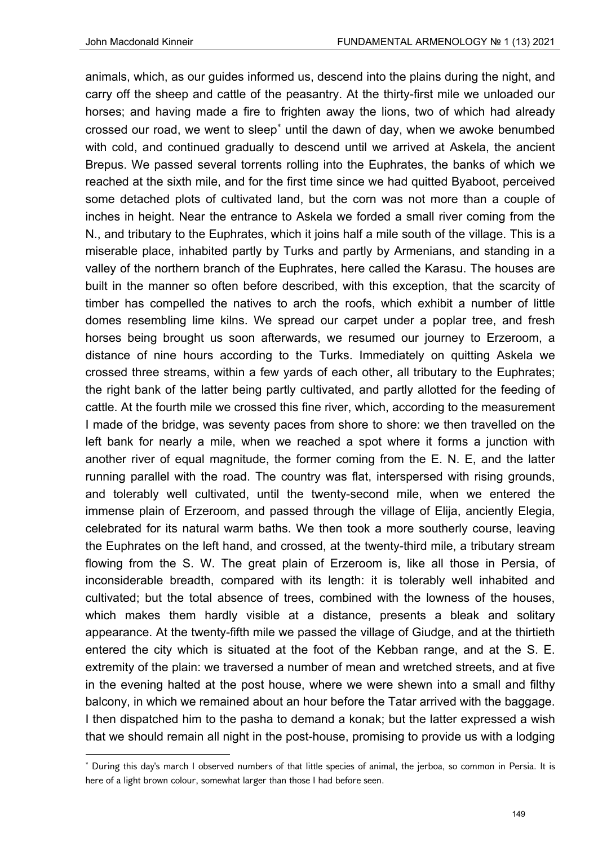animals, which, as our guides informed us, descend into the plains during the night, and carry off the sheep and cattle of the peasantry. At the thirty-first mile we unloaded our horses; and having made a fire to frighten away the lions, two of which had already crossed our road, we went to sleep<sup>\*</sup> until the dawn of day, when we awoke benumbed with cold, and continued gradually to descend until we arrived at Askela, the ancient Brepus. We passed several torrents rolling into the Euphrates, the banks of which we reached at the sixth mile, and for the first time since we had quitted Byaboot, perceived some detached plots of cultivated land, but the corn was not more than a couple of inches in height. Near the entrance to Askela we forded a small river coming from the N., and tributary to the Euphrates, which it joins half a mile south of the village. This is a miserable place, inhabited partly by Turks and partly by Armenians, and standing in a valley of the northern branch of the Euphrates, here called the Karasu. The houses are built in the manner so often before described, with this exception, that the scarcity of timber has compelled the natives to arch the roofs, which exhibit a number of little domes resembling lime kilns. We spread our carpet under a poplar tree, and fresh horses being brought us soon afterwards, we resumed our journey to Erzeroom, a distance of nine hours according to the Turks. Immediately on quitting Askela we crossed three streams, within a few yards of each other, all tributary to the Euphrates; the right bank of the latter being partly cultivated, and partly allotted for the feeding of cattle. At the fourth mile we crossed this fine river, which, according to the measurement I made of the bridge, was seventy paces from shore to shore: we then travelled on the left bank for nearly a mile, when we reached a spot where it forms a junction with another river of equal magnitude, the former coming from the E. N. E, and the latter running parallel with the road. The country was flat, interspersed with rising grounds, and tolerably well cultivated, until the twenty-second mile, when we entered the immense plain of Erzeroom, and passed through the village of Elija, anciently Elegia, celebrated for its natural warm baths. We then took a more southerly course, leaving the Euphrates on the left hand, and crossed, at the twenty-third mile, a tributary stream flowing from the S. W. The great plain of Erzeroom is, like all those in Persia, of inconsiderable breadth, compared with its length: it is tolerably well inhabited and cultivated; but the total absence of trees, combined with the lowness of the houses, which makes them hardly visible at a distance, presents a bleak and solitary appearance. At the twenty-fifth mile we passed the village of Giudge, and at the thirtieth entered the city which is situated at the foot of the Kebban range, and at the S. E. extremity of the plain: we traversed a number of mean and wretched streets, and at five in the evening halted at the post house, where we were shewn into a small and filthy balcony, in which we remained about an hour before the Tatar arrived with the baggage. I then dispatched him to the pasha to demand a konak; but the latter expressed a wish that we should remain all night in the post-house, promising to provide us with a lodging

 During this day's march I observed numbers of that little species of animal, the jerboa, so common in Persia. It is here of a light brown colour, somewhat larger than those I had before seen.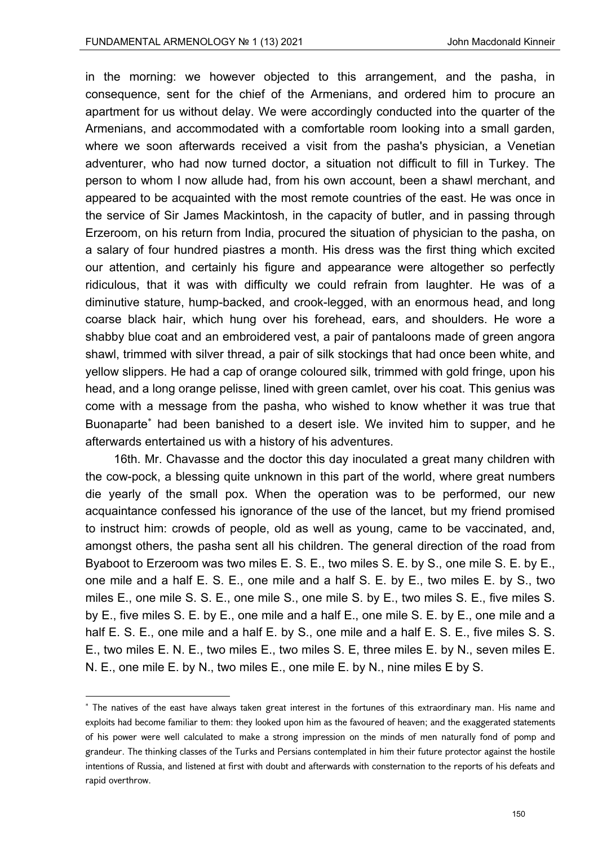in the morning: we however objected to this arrangement, and the pasha, in consequence, sent for the chief of the Armenians, and ordered him to procure an apartment for us without delay. We were accordingly conducted into the quarter of the Armenians, and accommodated with a comfortable room looking into a small garden, where we soon afterwards received a visit from the pasha's physician, a Venetian adventurer, who had now turned doctor, a situation not difficult to fill in Turkey. The person to whom I now allude had, from his own account, been a shawl merchant, and appeared to be acquainted with the most remote countries of the east. He was once in the service of Sir James Mackintosh, in the capacity of butler, and in passing through Erzeroom, on his return from India, procured the situation of physician to the pasha, on a salary of four hundred piastres a month. His dress was the first thing which excited our attention, and certainly his figure and appearance were altogether so perfectly ridiculous, that it was with difficulty we could refrain from laughter. He was of a diminutive stature, hump-backed, and crook-legged, with an enormous head, and long coarse black hair, which hung over his forehead, ears, and shoulders. He wore a shabby blue coat and an embroidered vest, a pair of pantaloons made of green angora shawl, trimmed with silver thread, a pair of silk stockings that had once been white, and yellow slippers. He had a cap of orange coloured silk, trimmed with gold fringe, upon his head, and a long orange pelisse, lined with green camlet, over his coat. This genius was come with a message from the pasha, who wished to know whether it was true that Buonaparte had been banished to a desert isle. We invited him to supper, and he afterwards entertained us with a history of his adventures.

16th. Mr. Chavasse and the doctor this day inoculated a great many children with the cow-pock, a blessing quite unknown in this part of the world, where great numbers die yearly of the small pox. When the operation was to be performed, our new acquaintance confessed his ignorance of the use of the lancet, but my friend promised to instruct him: crowds of people, old as well as young, came to be vaccinated, and, amongst others, the pasha sent all his children. The general direction of the road from Byaboot to Erzeroom was two miles E. S. E., two miles S. E. by S., one mile S. E. by E., one mile and a half E. S. E., one mile and a half S. E. by E., two miles E. by S., two miles E., one mile S. S. E., one mile S., one mile S. by E., two miles S. E., five miles S. by E., five miles S. E. by E., one mile and a half E., one mile S. E. by E., one mile and a half E. S. E., one mile and a half E. by S., one mile and a half E. S. E., five miles S. S. E., two miles E. N. E., two miles E., two miles S. E, three miles E. by N., seven miles E. N. E., one mile E. by N., two miles E., one mile E. by N., nine miles E by S.

 The natives of the east have always taken great interest in the fortunes of this extraordinary man. His name and exploits had become familiar to them: they looked upon him as the favoured of heaven; and the exaggerated statements of his power were well calculated to make a strong impression on the minds of men naturally fond of pomp and grandeur. The thinking classes of the Turks and Persians contemplated in him their future protector against the hostile intentions of Russia, and listened at first with doubt and afterwards with consternation to the reports of his defeats and rapid overthrow.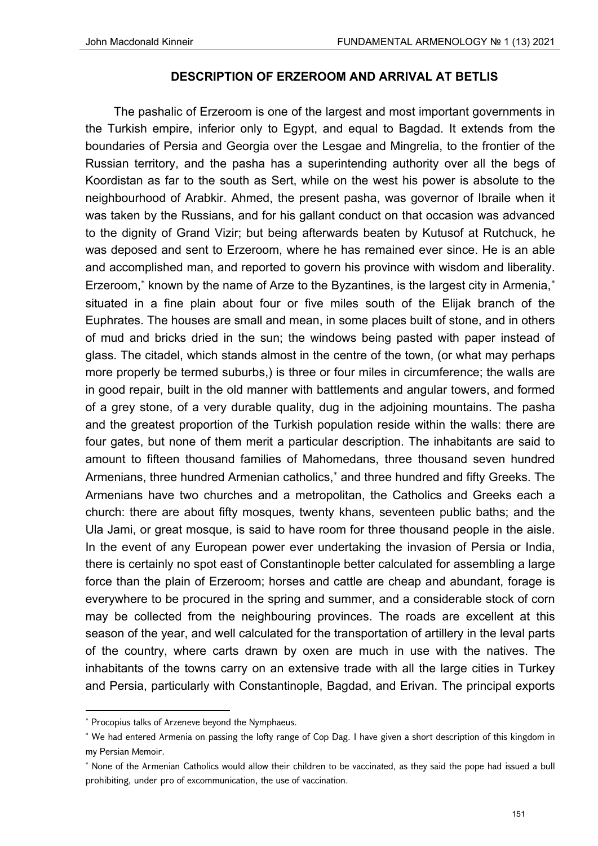# **DESCRIPTION OF ERZEROOM AND ARRIVAL AT BETLIS**

The pashalic of Erzeroom is one of the largest and most important governments in the Turkish empire, inferior only to Egypt, and equal to Bagdad. It extends from the boundaries of Persia and Georgia over the Lesgae and Mingrelia, to the frontier of the Russian territory, and the pasha has a superintending authority over all the begs of Koordistan as far to the south as Sert, while on the west his power is absolute to the neighbourhood of Arabkir. Ahmed, the present pasha, was governor of Ibraile when it was taken by the Russians, and for his gallant conduct on that occasion was advanced to the dignity of Grand Vizir; but being afterwards beaten by Kutusof at Rutchuck, he was deposed and sent to Erzeroom, where he has remained ever since. He is an able and accomplished man, and reported to govern his province with wisdom and liberality. Erzeroom,<sup>\*</sup> known by the name of Arze to the Byzantines, is the largest city in Armenia,<sup>\*</sup> situated in a fine plain about four or five miles south of the Elijak branch of the Euphrates. The houses are small and mean, in some places built of stone, and in others of mud and bricks dried in the sun; the windows being pasted with paper instead of glass. The citadel, which stands almost in the centre of the town, (or what may perhaps more properly be termed suburbs,) is three or four miles in circumference; the walls are in good repair, built in the old manner with battlements and angular towers, and formed of a grey stone, of a very durable quality, dug in the adjoining mountains. The pasha and the greatest proportion of the Turkish population reside within the walls: there are four gates, but none of them merit a particular description. The inhabitants are said to amount to fifteen thousand families of Mahomedans, three thousand seven hundred Armenians, three hundred Armenian catholics,<sup>\*</sup> and three hundred and fifty Greeks. The Armenians have two churches and a metropolitan, the Catholics and Greeks each a church: there are about fifty mosques, twenty khans, seventeen public baths; and the Ula Jami, or great mosque, is said to have room for three thousand people in the aisle. In the event of any European power ever undertaking the invasion of Persia or India, there is certainly no spot east of Constantinople better calculated for assembling a large force than the plain of Erzeroom; horses and cattle are cheap and abundant, forage is everywhere to be procured in the spring and summer, and a considerable stock of corn may be collected from the neighbouring provinces. The roads are excellent at this season of the year, and well calculated for the transportation of artillery in the leval parts of the country, where carts drawn by oxen are much in use with the natives. The inhabitants of the towns carry on an extensive trade with all the large cities in Turkey and Persia, particularly with Constantinople, Bagdad, and Erivan. The principal exports

<sup>\*</sup> Procopius talks of Arzeneve beyond the Nymphaeus.

 We had entered Armenia on passing the lofty range of Cop Dag. I have given a short description of this kingdom in my Persian Memoir.

<sup>\*</sup> None of the Armenian Catholics would allow their children to be vaccinated, as they said the pope had issued a bull prohibiting, under pro of excommunication, the use of vaccination.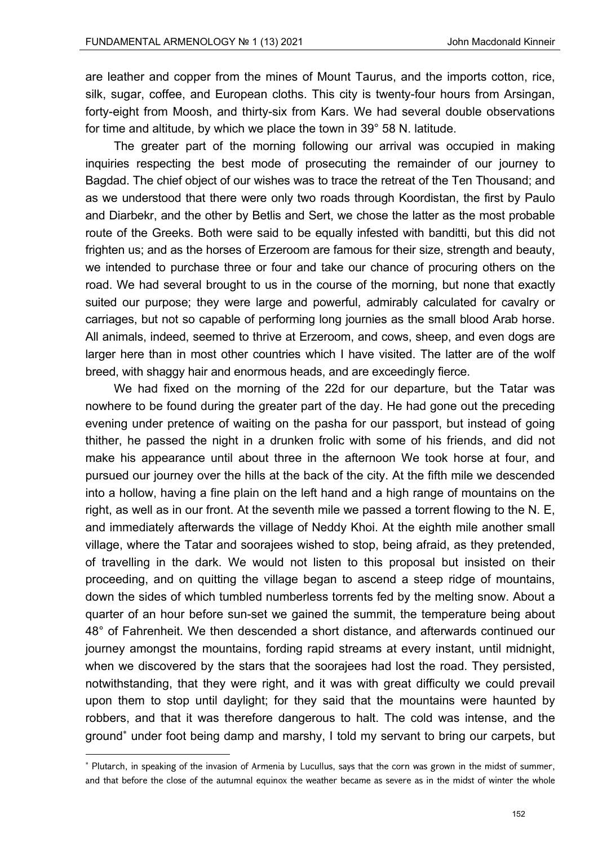are leather and copper from the mines of Mount Taurus, and the imports cotton, rice, silk, sugar, coffee, and European cloths. This city is twenty-four hours from Arsingan, forty-eight from Moosh, and thirty-six from Kars. We had several double observations for time and altitude, by which we place the town in 39° 58 N. latitude.

The greater part of the morning following our arrival was occupied in making inquiries respecting the best mode of prosecuting the remainder of our journey to Bagdad. The chief object of our wishes was to trace the retreat of the Ten Thousand; and as we understood that there were only two roads through Koordistan, the first by Paulo and Diarbekr, and the other by Betlis and Sert, we chose the latter as the most probable route of the Greeks. Both were said to be equally infested with banditti, but this did not frighten us; and as the horses of Erzeroom are famous for their size, strength and beauty, we intended to purchase three or four and take our chance of procuring others on the road. We had several brought to us in the course of the morning, but none that exactly suited our purpose; they were large and powerful, admirably calculated for cavalry or carriages, but not so capable of performing long journies as the small blood Arab horse. All animals, indeed, seemed to thrive at Erzeroom, and cows, sheep, and even dogs are larger here than in most other countries which I have visited. The latter are of the wolf breed, with shaggy hair and enormous heads, and are exceedingly fierce.

We had fixed on the morning of the 22d for our departure, but the Tatar was nowhere to be found during the greater part of the day. He had gone out the preceding evening under pretence of waiting on the pasha for our passport, but instead of going thither, he passed the night in a drunken frolic with some of his friends, and did not make his appearance until about three in the afternoon We took horse at four, and pursued our journey over the hills at the back of the city. At the fifth mile we descended into a hollow, having a fine plain on the left hand and a high range of mountains on the right, as well as in our front. At the seventh mile we passed a torrent flowing to the N. E, and immediately afterwards the village of Neddy Khoi. At the eighth mile another small village, where the Tatar and soorajees wished to stop, being afraid, as they pretended, of travelling in the dark. We would not listen to this proposal but insisted on their proceeding, and on quitting the village began to ascend a steep ridge of mountains, down the sides of which tumbled numberless torrents fed by the melting snow. About a quarter of an hour before sun-set we gained the summit, the temperature being about 48° of Fahrenheit. We then descended a short distance, and afterwards continued our journey amongst the mountains, fording rapid streams at every instant, until midnight, when we discovered by the stars that the soorajees had lost the road. They persisted, notwithstanding, that they were right, and it was with great difficulty we could prevail upon them to stop until daylight; for they said that the mountains were haunted by robbers, and that it was therefore dangerous to halt. The cold was intense, and the ground<sup>\*</sup> under foot being damp and marshy, I told my servant to bring our carpets, but

<sup>\*</sup> Plutarch, in speaking of the invasion of Armenia by Lucullus, says that the corn was grown in the midst of summer, and that before the close of the autumnal equinox the weather became as severe as in the midst of winter the whole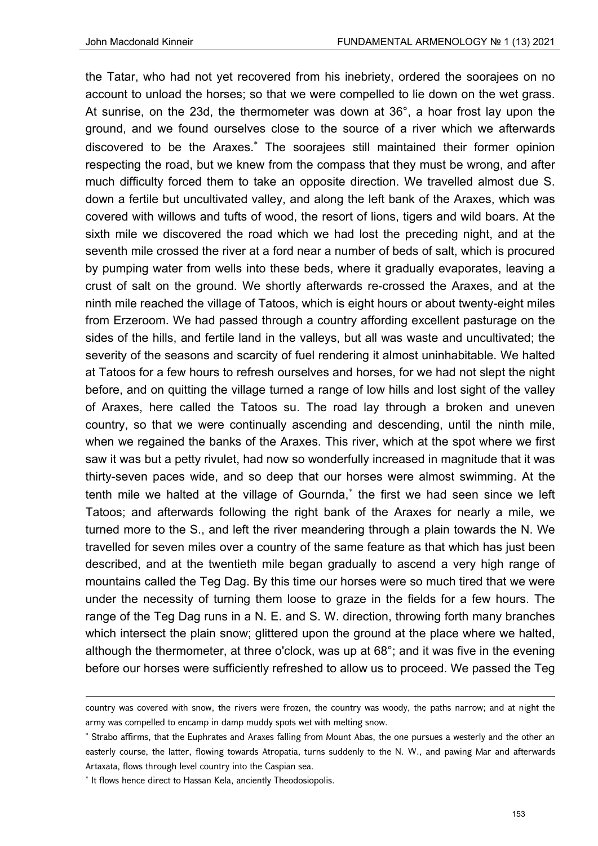the Tatar, who had not yet recovered from his inebriety, ordered the soorajees on no account to unload the horses; so that we were compelled to lie down on the wet grass. At sunrise, on the 23d, the thermometer was down at 36°, a hoar frost lay upon the ground, and we found ourselves close to the source of a river which we afterwards discovered to be the Araxes. The soorajees still maintained their former opinion respecting the road, but we knew from the compass that they must be wrong, and after much difficulty forced them to take an opposite direction. We travelled almost due S. down a fertile but uncultivated valley, and along the left bank of the Araxes, which was covered with willows and tufts of wood, the resort of lions, tigers and wild boars. At the sixth mile we discovered the road which we had lost the preceding night, and at the seventh mile crossed the river at a ford near a number of beds of salt, which is procured by pumping water from wells into these beds, where it gradually evaporates, leaving a crust of salt on the ground. We shortly afterwards re-crossed the Araxes, and at the ninth mile reached the village of Tatoos, which is eight hours or about twenty-eight miles from Erzeroom. We had passed through a country affording excellent pasturage on the sides of the hills, and fertile land in the valleys, but all was waste and uncultivated; the severity of the seasons and scarcity of fuel rendering it almost uninhabitable. We halted at Tatoos for a few hours to refresh ourselves and horses, for we had not slept the night before, and on quitting the village turned a range of low hills and lost sight of the valley of Araxes, here called the Tatoos su. The road lay through a broken and uneven country, so that we were continually ascending and descending, until the ninth mile, when we regained the banks of the Araxes. This river, which at the spot where we first saw it was but a petty rivulet, had now so wonderfully increased in magnitude that it was thirty-seven paces wide, and so deep that our horses were almost swimming. At the tenth mile we halted at the village of Gournda, the first we had seen since we left Tatoos; and afterwards following the right bank of the Araxes for nearly a mile, we turned more to the S., and left the river meandering through a plain towards the N. We travelled for seven miles over a country of the same feature as that which has just been described, and at the twentieth mile began gradually to ascend a very high range of mountains called the Teg Dag. By this time our horses were so much tired that we were under the necessity of turning them loose to graze in the fields for a few hours. The range of the Teg Dag runs in a N. E. and S. W. direction, throwing forth many branches which intersect the plain snow; glittered upon the ground at the place where we halted, although the thermometer, at three o'clock, was up at 68°; and it was five in the evening before our horses were sufficiently refreshed to allow us to proceed. We passed the Teg

<u> Andrewski politika (za obrazu pod predsjednika u predsjednika u predsjednika u predsjednika (za obrazu pod p</u>

country was covered with snow, the rivers were frozen, the country was woody, the paths narrow; and at night the army was compelled to encamp in damp muddy spots wet with melting snow.

<sup>\*</sup> Strabo affirms, that the Euphrates and Araxes falling from Mount Abas, the one pursues a westerly and the other an easterly course, the latter, flowing towards Atropatia, turns suddenly to the N. W., and pawing Mar and afterwards Artaxata, flows through level country into the Caspian sea.

<sup>\*</sup> It flows hence direct to Hassan Kela, anciently Theodosiopolis.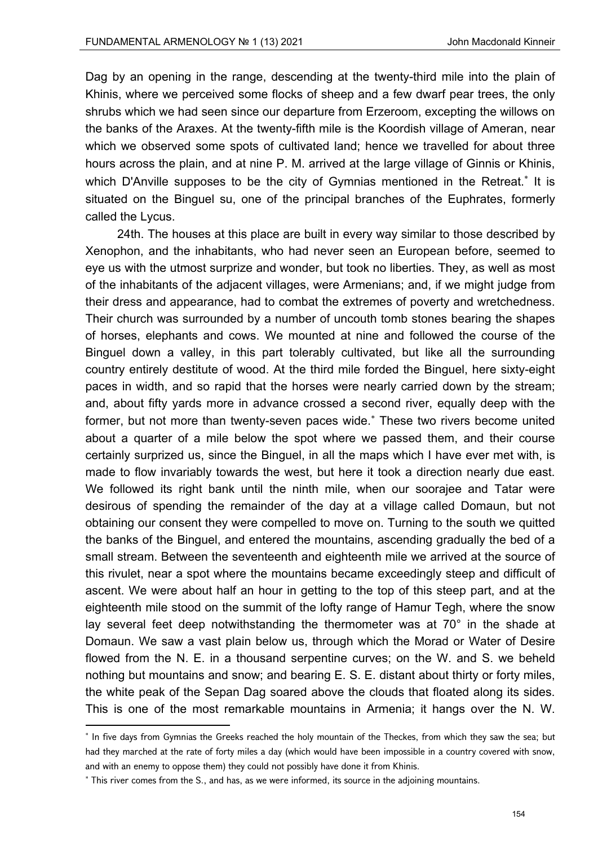Dag by an opening in the range, descending at the twenty-third mile into the plain of Khinis, where we perceived some flocks of sheep and a few dwarf pear trees, the only shrubs which we had seen since our departure from Erzeroom, excepting the willows on the banks of the Araxes. At the twenty-fifth mile is the Koordish village of Ameran, near which we observed some spots of cultivated land; hence we travelled for about three hours across the plain, and at nine P. M. arrived at the large village of Ginnis or Khinis, which D'Anville supposes to be the city of Gymnias mentioned in the Retreat.<sup>\*</sup> It is situated on the Binguel su, one of the principal branches of the Euphrates, formerly called the Lycus.

 24th. The houses at this place are built in every way similar to those described by Xenophon, and the inhabitants, who had never seen an European before, seemed to eye us with the utmost surprize and wonder, but took no liberties. They, as well as most of the inhabitants of the adjacent villages, were Armenians; and, if we might judge from their dress and appearance, had to combat the extremes of poverty and wretchedness. Their church was surrounded by a number of uncouth tomb stones bearing the shapes of horses, elephants and cows. We mounted at nine and followed the course of the Binguel down a valley, in this part tolerably cultivated, but like all the surrounding country entirely destitute of wood. At the third mile forded the Binguel, here sixty-eight paces in width, and so rapid that the horses were nearly carried down by the stream; and, about fifty yards more in advance crossed a second river, equally deep with the former, but not more than twenty-seven paces wide. These two rivers become united about a quarter of a mile below the spot where we passed them, and their course certainly surprized us, since the Binguel, in all the maps which I have ever met with, is made to flow invariably towards the west, but here it took a direction nearly due east. We followed its right bank until the ninth mile, when our soorajee and Tatar were desirous of spending the remainder of the day at a village called Domaun, but not obtaining our consent they were compelled to move on. Turning to the south we quitted the banks of the Binguel, and entered the mountains, ascending gradually the bed of a small stream. Between the seventeenth and eighteenth mile we arrived at the source of this rivulet, near a spot where the mountains became exceedingly steep and difficult of ascent. We were about half an hour in getting to the top of this steep part, and at the eighteenth mile stood on the summit of the lofty range of Hamur Tegh, where the snow lay several feet deep notwithstanding the thermometer was at  $70^{\circ}$  in the shade at Domaun. We saw a vast plain below us, through which the Morad or Water of Desire flowed from the N. E. in a thousand serpentine curves; on the W. and S. we beheld nothing but mountains and snow; and bearing E. S. E. distant about thirty or forty miles, the white peak of the Sepan Dag soared above the clouds that floated along its sides. This is one of the most remarkable mountains in Armenia; it hangs over the N. W.

<sup>\*</sup> In five days from Gymnias the Greeks reached the holy mountain of the Theckes, from which they saw the sea; but had they marched at the rate of forty miles a day (which would have been impossible in a country covered with snow, and with an enemy to oppose them) they could not possibly have done it from Khinis.

 This river comes from the S., and has, as we were informed, its source in the adjoining mountains.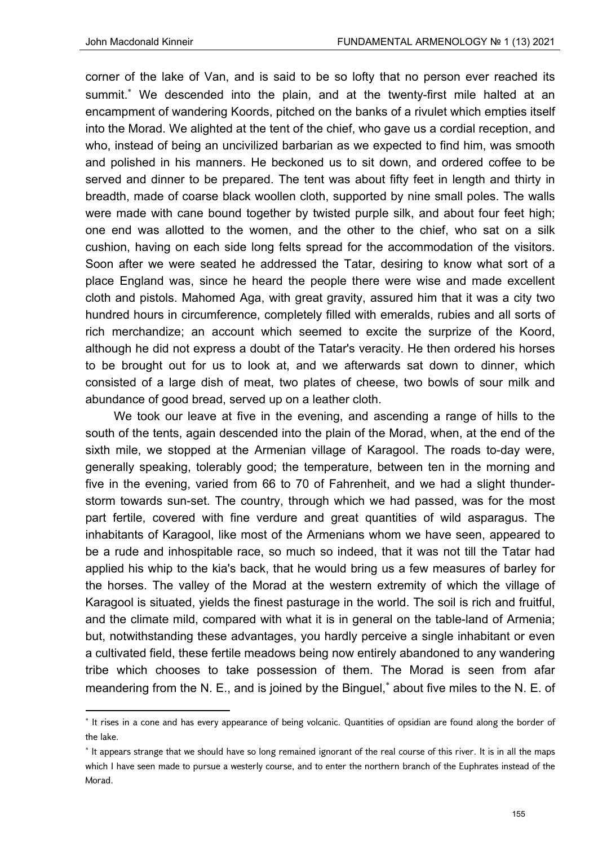corner of the lake of Van, and is said to be so lofty that no person ever reached its summit. We descended into the plain, and at the twenty-first mile halted at an encampment of wandering Koords, pitched on the banks of a rivulet which empties itself into the Morad. We alighted at the tent of the chief, who gave us a cordial reception, and who, instead of being an uncivilized barbarian as we expected to find him, was smooth and polished in his manners. He beckoned us to sit down, and ordered coffee to be served and dinner to be prepared. The tent was about fifty feet in length and thirty in breadth, made of coarse black woollen cloth, supported by nine small poles. The walls were made with cane bound together by twisted purple silk, and about four feet high; one end was allotted to the women, and the other to the chief, who sat on a silk cushion, having on each side long felts spread for the accommodation of the visitors. Soon after we were seated he addressed the Tatar, desiring to know what sort of a place England was, since he heard the people there were wise and made excellent cloth and pistols. Mahomed Aga, with great gravity, assured him that it was a city two hundred hours in circumference, completely filled with emeralds, rubies and all sorts of rich merchandize; an account which seemed to excite the surprize of the Koord, although he did not express a doubt of the Tatar's veracity. He then ordered his horses to be brought out for us to look at, and we afterwards sat down to dinner, which consisted of a large dish of meat, two plates of cheese, two bowls of sour milk and abundance of good bread, served up on a leather cloth.

We took our leave at five in the evening, and ascending a range of hills to the south of the tents, again descended into the plain of the Morad, when, at the end of the sixth mile, we stopped at the Armenian village of Karagool. The roads to-day were, generally speaking, tolerably good; the temperature, between ten in the morning and five in the evening, varied from 66 to 70 of Fahrenheit, and we had a slight thunderstorm towards sun-set. The country, through which we had passed, was for the most part fertile, covered with fine verdure and great quantities of wild asparagus. The inhabitants of Karagool, like most of the Armenians whom we have seen, appeared to be a rude and inhospitable race, so much so indeed, that it was not till the Tatar had applied his whip to the kia's back, that he would bring us a few measures of barley for the horses. The valley of the Morad at the western extremity of which the village of Karagool is situated, yields the finest pasturage in the world. The soil is rich and fruitful, and the climate mild, compared with what it is in general on the table-land of Armenia; but, notwithstanding these advantages, you hardly perceive a single inhabitant or even a cultivated field, these fertile meadows being now entirely abandoned to any wandering tribe which chooses to take possession of them. The Morad is seen from afar meandering from the N. E., and is joined by the Binguel,<sup>\*</sup> about five miles to the N. E. of

<sup>\*</sup> It rises in a cone and has every appearance of being volcanic. Quantities of opsidian are found along the border of the lake.

<sup>\*</sup> It appears strange that we should have so long remained ignorant of the real course of this river. It is in all the maps which I have seen made to pursue a westerly course, and to enter the northern branch of the Euphrates instead of the Morad.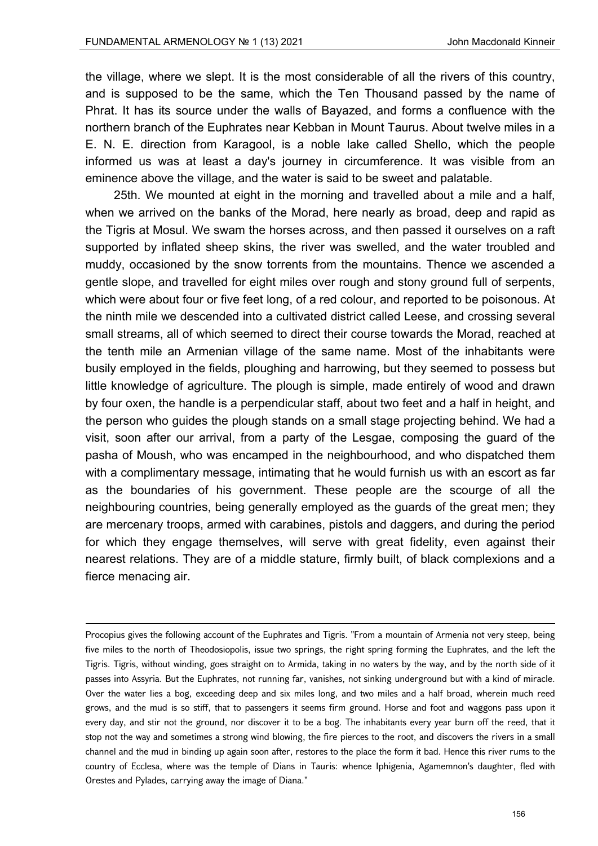the village, where we slept. It is the most considerable of all the rivers of this country, and is supposed to be the same, which the Ten Thousand passed by the name of Phrat. It has its source under the walls of Bayazed, and forms a confluence with the northern branch of the Euphrates near Kebban in Mount Taurus. About twelve miles in a E. N. E. direction from Karagool, is a noble lake called Shello, which the people informed us was at least a day's journey in circumference. It was visible from an eminence above the village, and the water is said to be sweet and palatable.

25th. We mounted at eight in the morning and travelled about a mile and a half, when we arrived on the banks of the Morad, here nearly as broad, deep and rapid as the Tigris at Mosul. We swam the horses across, and then passed it ourselves on a raft supported by inflated sheep skins, the river was swelled, and the water troubled and muddy, occasioned by the snow torrents from the mountains. Thence we ascended a gentle slope, and travelled for eight miles over rough and stony ground full of serpents, which were about four or five feet long, of a red colour, and reported to be poisonous. At the ninth mile we descended into a cultivated district called Leese, and crossing several small streams, all of which seemed to direct their course towards the Morad, reached at the tenth mile an Armenian village of the same name. Most of the inhabitants were busily employed in the fields, ploughing and harrowing, but they seemed to possess but little knowledge of agriculture. The plough is simple, made entirely of wood and drawn by four oxen, the handle is a perpendicular staff, about two feet and a half in height, and the person who guides the plough stands on a small stage projecting behind. We had a visit, soon after our arrival, from a party of the Lesgae, composing the guard of the pasha of Moush, who was encamped in the neighbourhood, and who dispatched them with a complimentary message, intimating that he would furnish us with an escort as far as the boundaries of his government. These people are the scourge of all the neighbouring countries, being generally employed as the guards of the great men; they are mercenary troops, armed with carabines, pistols and daggers, and during the period for which they engage themselves, will serve with great fidelity, even against their nearest relations. They are of a middle stature, firmly built, of black complexions and a fierce menacing air.

<u> Andrewski politika (za obrazu pod predsjednika u predsjednika u predsjednika u predsjednika (za obrazu pod p</u>

Procopius gives the following account of the Euphrates and Tigris. "From a mountain of Armenia not very steep, being five miles to the north of Theodosiopolis, issue two springs, the right spring forming the Euphrates, and the left the Tigris. Tigris, without winding, goes straight on to Armida, taking in no waters by the way, and by the north side of it passes into Assyria. But the Euphrates, not running far, vanishes, not sinking underground but with a kind of miracle. Over the water lies a bog, exceeding deep and six miles long, and two miles and a half broad, wherein much reed grows, and the mud is so stiff, that to passengers it seems firm ground. Horse and foot and waggons pass upon it every day, and stir not the ground, nor discover it to be a bog. The inhabitants every year burn off the reed, that it stop not the way and sometimes a strong wind blowing, the fire pierces to the root, and discovers the rivers in a small channel and the mud in binding up again soon after, restores to the place the form it bad. Hence this river rums to the country of Ecclesa, where was the temple of Dians in Tauris: whence Iphigenia, Agamemnon's daughter, fled with Orestes and Pylades, carrying away the image of Diana."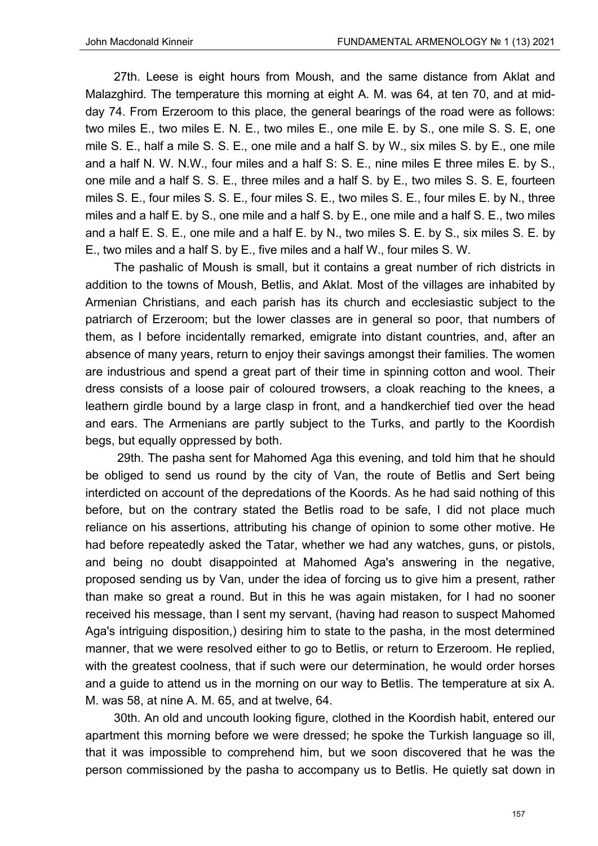27th. Leese is eight hours from Moush, and the same distance from Aklat and Malazghird. The temperature this morning at eight A. M. was 64, at ten 70, and at midday 74. From Erzeroom to this place, the general bearings of the road were as follows: two miles E., two miles E. N. E., two miles E., one mile E. by S., one mile S. S. E, one mile S. E., half a mile S. S. E., one mile and a half S. by W., six miles S. by E., one mile and a half N. W. N.W., four miles and a half S: S. E., nine miles E three miles E. by S., one mile and a half S. S. E., three miles and a half S. by E., two miles S. S. E, fourteen miles S. E., four miles S. S. E., four miles S. E., two miles S. E., four miles E. by N., three miles and a half E. by S., one mile and a half S. by E., one mile and a half S. E., two miles and a half E. S. E., one mile and a half E. by N., two miles S. E. by S., six miles S. E. by E., two miles and a half S. by E., five miles and a half W., four miles S. W.

The pashalic of Moush is small, but it contains a great number of rich districts in addition to the towns of Moush, Betlis, and Aklat. Most of the villages are inhabited by Armenian Christians, and each parish has its church and ecclesiastic subject to the patriarch of Erzeroom; but the lower classes are in general so poor, that numbers of them, as I before incidentally remarked, emigrate into distant countries, and, after an absence of many years, return to enjoy their savings amongst their families. The women are industrious and spend a great part of their time in spinning cotton and wool. Their dress consists of a loose pair of coloured trowsers, a cloak reaching to the knees, a leathern girdle bound by a large clasp in front, and a handkerchief tied over the head and ears. The Armenians are partly subject to the Turks, and partly to the Koordish begs, but equally oppressed by both.

 29th. The pasha sent for Mahomed Aga this evening, and told him that he should be obliged to send us round by the city of Van, the route of Betlis and Sert being interdicted on account of the depredations of the Koords. As he had said nothing of this before, but on the contrary stated the Betlis road to be safe, I did not place much reliance on his assertions, attributing his change of opinion to some other motive. He had before repeatedly asked the Tatar, whether we had any watches, guns, or pistols, and being no doubt disappointed at Mahomed Aga's answering in the negative, proposed sending us by Van, under the idea of forcing us to give him a present, rather than make so great a round. But in this he was again mistaken, for I had no sooner received his message, than I sent my servant, (having had reason to suspect Mahomed Aga's intriguing disposition,) desiring him to state to the pasha, in the most determined manner, that we were resolved either to go to Betlis, or return to Erzeroom. He replied, with the greatest coolness, that if such were our determination, he would order horses and a guide to attend us in the morning on our way to Betlis. The temperature at six A. M. was 58, at nine A. M. 65, and at twelve, 64.

30th. An old and uncouth looking figure, clothed in the Koordish habit, entered our apartment this morning before we were dressed; he spoke the Turkish language so ill, that it was impossible to comprehend him, but we soon discovered that he was the person commissioned by the pasha to accompany us to Betlis. He quietly sat down in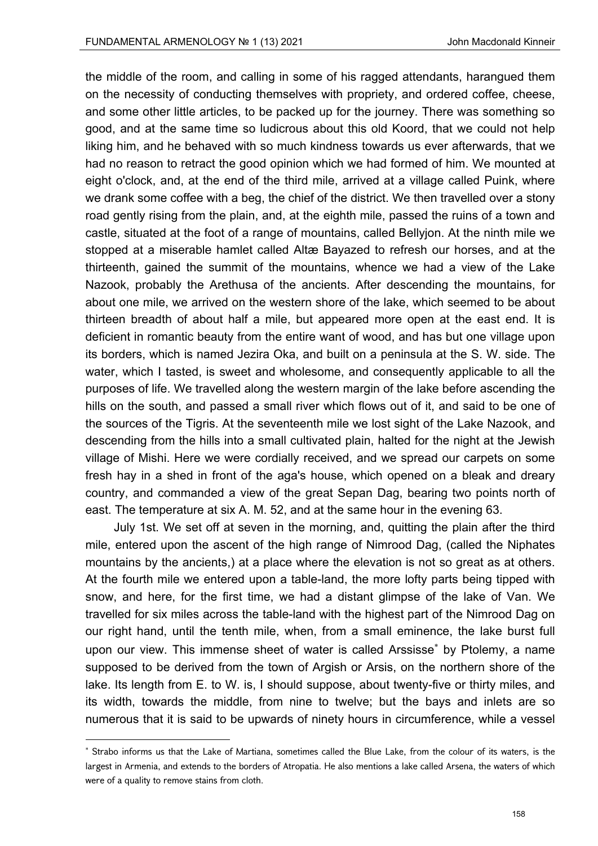the middle of the room, and calling in some of his ragged attendants, harangued them on the necessity of conducting themselves with propriety, and ordered coffee, cheese, and some other little articles, to be packed up for the journey. There was something so good, and at the same time so ludicrous about this old Koord, that we could not help liking him, and he behaved with so much kindness towards us ever afterwards, that we had no reason to retract the good opinion which we had formed of him. We mounted at eight o'clock, and, at the end of the third mile, arrived at a village called Puink, where we drank some coffee with a beg, the chief of the district. We then travelled over a stony road gently rising from the plain, and, at the eighth mile, passed the ruins of a town and castle, situated at the foot of a range of mountains, called Bellyjon. At the ninth mile we stopped at a miserable hamlet called Altæ Bayazed to refresh our horses, and at the thirteenth, gained the summit of the mountains, whence we had a view of the Lake Nazook, probably the Arethusa of the ancients. After descending the mountains, for about one mile, we arrived on the western shore of the lake, which seemed to be about thirteen breadth of about half a mile, but appeared more open at the east end. It is deficient in romantic beauty from the entire want of wood, and has but one village upon its borders, which is named Jezira Oka, and built on a peninsula at the S. W. side. The water, which I tasted, is sweet and wholesome, and consequently applicable to all the purposes of life. We travelled along the western margin of the lake before ascending the hills on the south, and passed a small river which flows out of it, and said to be one of the sources of the Tigris. At the seventeenth mile we lost sight of the Lake Nazook, and descending from the hills into a small cultivated plain, halted for the night at the Jewish village of Mishi. Here we were cordially received, and we spread our carpets on some fresh hay in a shed in front of the aga's house, which opened on a bleak and dreary country, and commanded a view of the great Sepan Dag, bearing two points north of east. The temperature at six A. M. 52, and at the same hour in the evening 63.

July 1st. We set off at seven in the morning, and, quitting the plain after the third mile, entered upon the ascent of the high range of Nimrood Dag, (called the Niphates mountains by the ancients,) at a place where the elevation is not so great as at others. At the fourth mile we entered upon a table-land, the more lofty parts being tipped with snow, and here, for the first time, we had a distant glimpse of the lake of Van. We travelled for six miles across the table-land with the highest part of the Nimrood Dag on our right hand, until the tenth mile, when, from a small eminence, the lake burst full upon our view. This immense sheet of water is called Arssisse by Ptolemy, a name supposed to be derived from the town of Argish or Arsis, on the northern shore of the lake. Its length from E. to W. is, I should suppose, about twenty-five or thirty miles, and its width, towards the middle, from nine to twelve; but the bays and inlets are so numerous that it is said to be upwards of ninety hours in circumference, while a vessel

 Strabo informs us that the Lake of Martiana, sometimes called the Blue Lake, from the colour of its waters, is the largest in Armenia, and extends to the borders of Atropatia. He also mentions a lake called Arsena, the waters of which were of a quality to remove stains from cloth.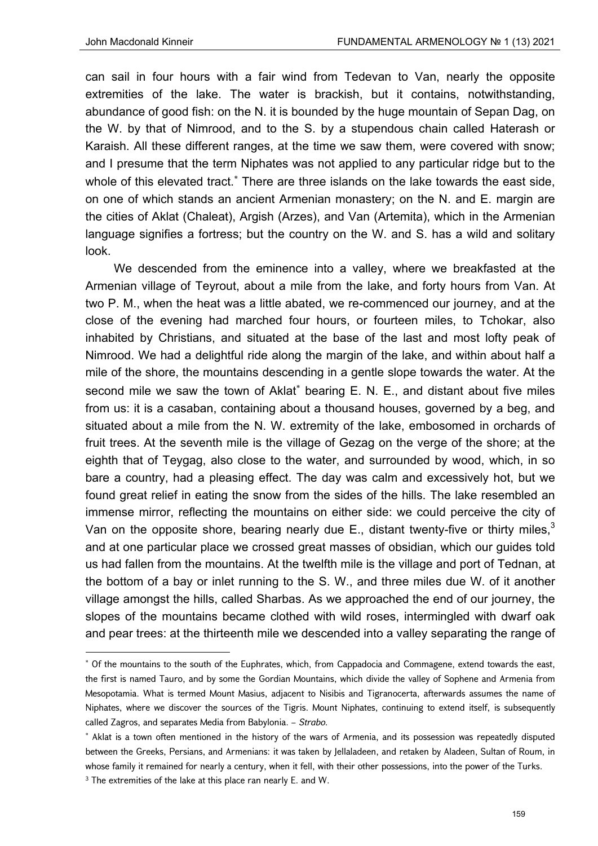can sail in four hours with a fair wind from Tedevan to Van, nearly the opposite extremities of the lake. The water is brackish, but it contains, notwithstanding, abundance of good fish: on the N. it is bounded by the huge mountain of Sepan Dag, on the W. by that of Nimrood, and to the S. by a stupendous chain called Haterash or Karaish. All these different ranges, at the time we saw them, were covered with snow; and I presume that the term Niphates was not applied to any particular ridge but to the whole of this elevated tract.<sup>\*</sup> There are three islands on the lake towards the east side, on one of which stands an ancient Armenian monastery; on the N. and E. margin are the cities of Aklat (Chaleat), Argish (Arzes), and Van (Artemita), which in the Armenian language signifies a fortress; but the country on the W. and S. has a wild and solitary look.

We descended from the eminence into a valley, where we breakfasted at the Armenian village of Teyrout, about a mile from the lake, and forty hours from Van. At two P. M., when the heat was a little abated, we re-commenced our journey, and at the close of the evening had marched four hours, or fourteen miles, to Tchokar, also inhabited by Christians, and situated at the base of the last and most lofty peak of Nimrood. We had a delightful ride along the margin of the lake, and within about half a mile of the shore, the mountains descending in a gentle slope towards the water. At the second mile we saw the town of Aklat<sup>\*</sup> bearing E. N. E., and distant about five miles from us: it is a casaban, containing about a thousand houses, governed by a beg, and situated about a mile from the N. W. extremity of the lake, embosomed in orchards of fruit trees. At the seventh mile is the village of Gezag on the verge of the shore; at the eighth that of Teygag, also close to the water, and surrounded by wood, which, in so bare a country, had a pleasing effect. The day was calm and excessively hot, but we found great relief in eating the snow from the sides of the hills. The lake resembled an immense mirror, reflecting the mountains on either side: we could perceive the city of Van on the opposite shore, bearing nearly due E., distant twenty-five or thirty miles,<sup>3</sup> and at one particular place we crossed great masses of obsidian, which our guides told us had fallen from the mountains. At the twelfth mile is the village and port of Tednan, at the bottom of a bay or inlet running to the S. W., and three miles due W. of it another village amongst the hills, called Sharbas. As we approached the end of our journey, the slopes of the mountains became clothed with wild roses, intermingled with dwarf oak and pear trees: at the thirteenth mile we descended into a valley separating the range of

 Of the mountains to the south of the Euphrates, which, from Cappadocia and Commagene, extend towards the east, the first is named Tauro, and by some the Gordian Mountains, which divide the valley of Sophene and Armenia from Mesopotamia. What is termed Mount Masius, adjacent to Nisibis and Tigranocerta, afterwards assumes the name of Niphates, where we discover the sources of the Tigris. Mount Niphates, continuing to extend itself, is subsequently called Zagros, and separates Media from Babylonia. – *Strabo*.

<sup>\*</sup> Aklat is a town often mentioned in the history of the wars of Armenia, and its possession was repeatedly disputed between the Greeks, Persians, and Armenians: it was taken by Jellaladeen, and retaken by Aladeen, Sultan of Roum, in whose family it remained for nearly a century, when it fell, with their other possessions, into the power of the Turks.

<sup>&</sup>lt;sup>3</sup> The extremities of the lake at this place ran nearly E. and W.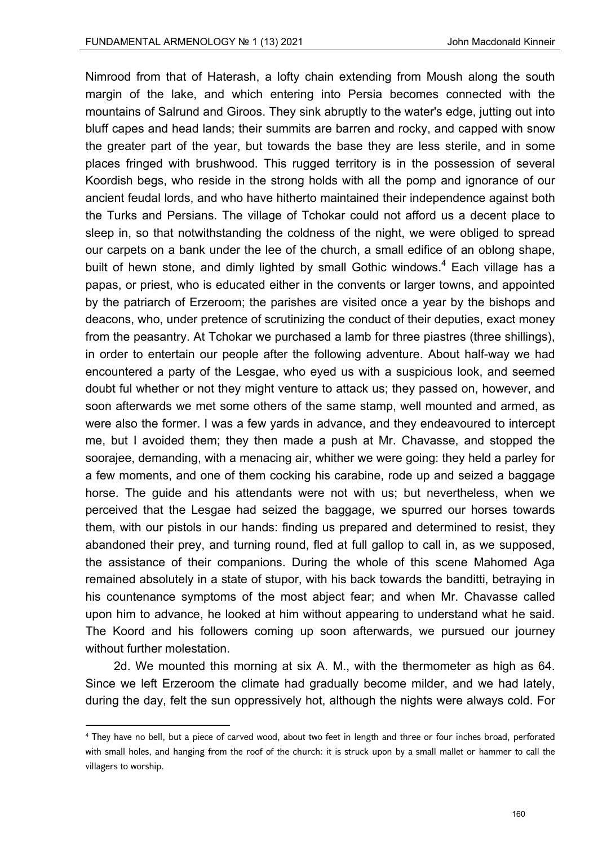Nimrood from that of Haterash, a lofty chain extending from Moush along the south margin of the lake, and which entering into Persia becomes connected with the mountains of Salrund and Giroos. They sink abruptly to the water's edge, jutting out into bluff capes and head lands; their summits are barren and rocky, and capped with snow the greater part of the year, but towards the base they are less sterile, and in some places fringed with brushwood. This rugged territory is in the possession of several Koordish begs, who reside in the strong holds with all the pomp and ignorance of our ancient feudal lords, and who have hitherto maintained their independence against both the Turks and Persians. The village of Tchokar could not afford us a decent place to sleep in, so that notwithstanding the coldness of the night, we were obliged to spread our carpets on a bank under the lee of the church, a small edifice of an oblong shape, built of hewn stone, and dimly lighted by small Gothic windows. $4$  Each village has a papas, or priest, who is educated either in the convents or larger towns, and appointed by the patriarch of Erzeroom; the parishes are visited once a year by the bishops and deacons, who, under pretence of scrutinizing the conduct of their deputies, exact money from the peasantry. At Tchokar we purchased a lamb for three piastres (three shillings), in order to entertain our people after the following adventure. About half-way we had encountered a party of the Lesgae, who eyed us with a suspicious look, and seemed doubt ful whether or not they might venture to attack us; they passed on, however, and soon afterwards we met some others of the same stamp, well mounted and armed, as were also the former. I was a few yards in advance, and they endeavoured to intercept me, but I avoided them; they then made a push at Mr. Chavasse, and stopped the soorajee, demanding, with a menacing air, whither we were going: they held a parley for a few moments, and one of them cocking his carabine, rode up and seized a baggage horse. The guide and his attendants were not with us; but nevertheless, when we perceived that the Lesgae had seized the baggage, we spurred our horses towards them, with our pistols in our hands: finding us prepared and determined to resist, they abandoned their prey, and turning round, fled at full gallop to call in, as we supposed, the assistance of their companions. During the whole of this scene Mahomed Aga remained absolutely in a state of stupor, with his back towards the banditti, betraying in his countenance symptoms of the most abject fear; and when Mr. Chavasse called upon him to advance, he looked at him without appearing to understand what he said. The Koord and his followers coming up soon afterwards, we pursued our journey without further molestation.

2d. We mounted this morning at six A. M., with the thermometer as high as 64. Since we left Erzeroom the climate had gradually become milder, and we had lately, during the day, felt the sun oppressively hot, although the nights were always cold. For

<sup>4</sup> They have no bell, but a piece of carved wood, about two feet in length and three or four inches broad, perforated with small holes, and hanging from the roof of the church: it is struck upon by a small mallet or hammer to call the villagers to worship.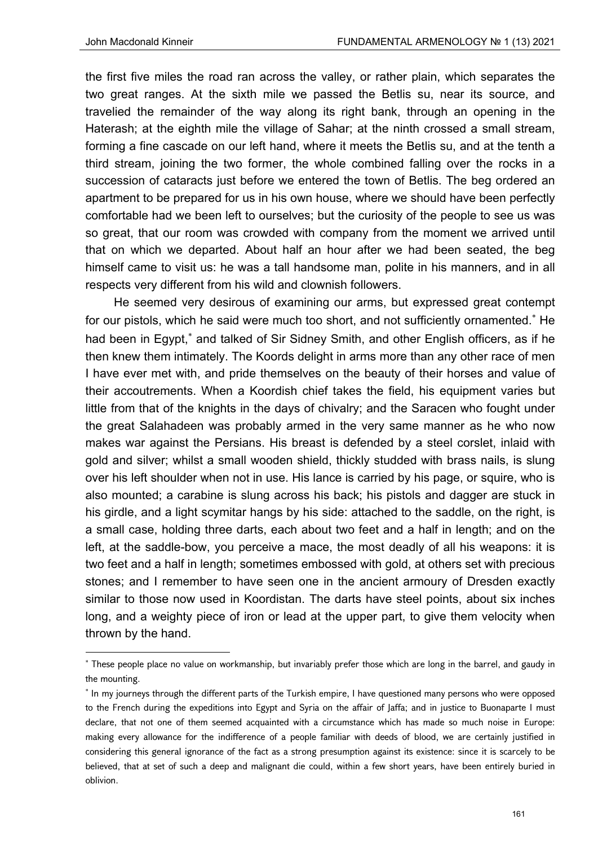the first five miles the road ran across the valley, or rather plain, which separates the two great ranges. At the sixth mile we passed the Betlis su, near its source, and travelied the remainder of the way along its right bank, through an opening in the Haterash; at the eighth mile the village of Sahar; at the ninth crossed a small stream, forming a fine cascade on our left hand, where it meets the Betlis su, and at the tenth a third stream, joining the two former, the whole combined falling over the rocks in a succession of cataracts just before we entered the town of Betlis. The beg ordered an apartment to be prepared for us in his own house, where we should have been perfectly comfortable had we been left to ourselves; but the curiosity of the people to see us was so great, that our room was crowded with company from the moment we arrived until that on which we departed. About half an hour after we had been seated, the beg himself came to visit us: he was a tall handsome man, polite in his manners, and in all respects very different from his wild and clownish followers.

He seemed very desirous of examining our arms, but expressed great contempt for our pistols, which he said were much too short, and not sufficiently ornamented.<sup>\*</sup> He had been in Egypt,<sup>\*</sup> and talked of Sir Sidney Smith, and other English officers, as if he then knew them intimately. The Koords delight in arms more than any other race of men I have ever met with, and pride themselves on the beauty of their horses and value of their accoutrements. When a Koordish chief takes the field, his equipment varies but little from that of the knights in the days of chivalry; and the Saracen who fought under the great Salahadeen was probably armed in the very same manner as he who now makes war against the Persians. His breast is defended by a steel corslet, inlaid with gold and silver; whilst a small wooden shield, thickly studded with brass nails, is slung over his left shoulder when not in use. His lance is carried by his page, or squire, who is also mounted; a carabine is slung across his back; his pistols and dagger are stuck in his girdle, and a light scymitar hangs by his side: attached to the saddle, on the right, is a small case, holding three darts, each about two feet and a half in length; and on the left, at the saddle-bow, you perceive a mace, the most deadly of all his weapons: it is two feet and a half in length; sometimes embossed with gold, at others set with precious stones; and I remember to have seen one in the ancient armoury of Dresden exactly similar to those now used in Koordistan. The darts have steel points, about six inches long, and a weighty piece of iron or lead at the upper part, to give them velocity when thrown by the hand.

 These people place no value on workmanship, but invariably prefer those which are long in the barrel, and gaudy in the mounting.

<sup>\*</sup> In my journeys through the different parts of the Turkish empire, I have questioned many persons who were opposed to the French during the expeditions into Egypt and Syria on the affair of Jaffa; and in justice to Buonaparte I must declare, that not one of them seemed acquainted with a circumstance which has made so much noise in Europe: making every allowance for the indifference of a people familiar with deeds of blood, we are certainly justified in considering this general ignorance of the fact as a strong presumption against its existence: since it is scarcely to be believed, that at set of such a deep and malignant die could, within a few short years, have been entirely buried in oblivion.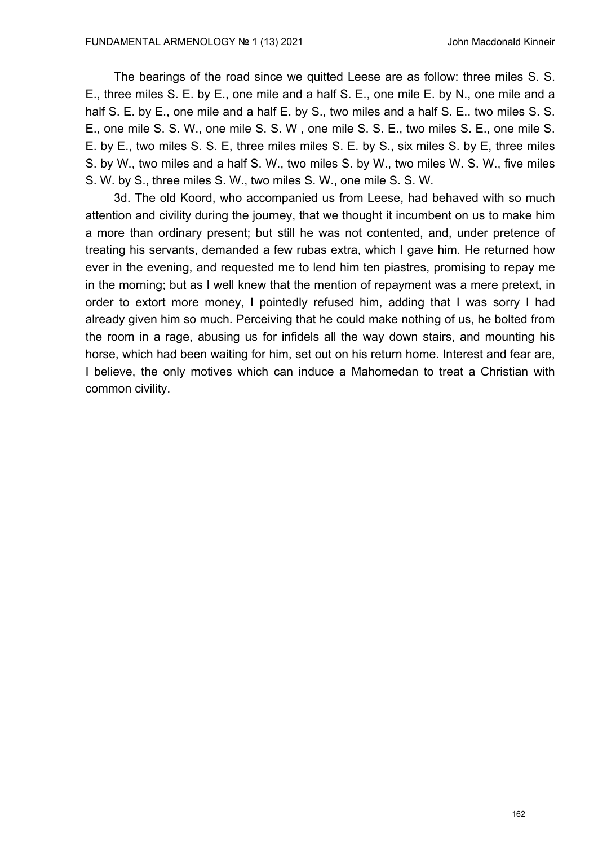The bearings of the road since we quitted Leese are as follow: three miles S. S. E., three miles S. E. by E., one mile and a half S. E., one mile E. by N., one mile and a half S. E. by E., one mile and a half E. by S., two miles and a half S. E.. two miles S. S. E., one mile S. S. W., one mile S. S. W , one mile S. S. E., two miles S. E., one mile S. E. by E., two miles S. S. E, three miles miles S. E. by S., six miles S. by E, three miles S. by W., two miles and a half S. W., two miles S. by W., two miles W. S. W., five miles S. W. by S., three miles S. W., two miles S. W., one mile S. S. W.

3d. The old Koord, who accompanied us from Leese, had behaved with so much attention and civility during the journey, that we thought it incumbent on us to make him a more than ordinary present; but still he was not contented, and, under pretence of treating his servants, demanded a few rubas extra, which I gave him. He returned how ever in the evening, and requested me to lend him ten piastres, promising to repay me in the morning; but as I well knew that the mention of repayment was a mere pretext, in order to extort more money, I pointedly refused him, adding that I was sorry I had already given him so much. Perceiving that he could make nothing of us, he bolted from the room in a rage, abusing us for infidels all the way down stairs, and mounting his horse, which had been waiting for him, set out on his return home. Interest and fear are, I believe, the only motives which can induce a Mahomedan to treat a Christian with common civility.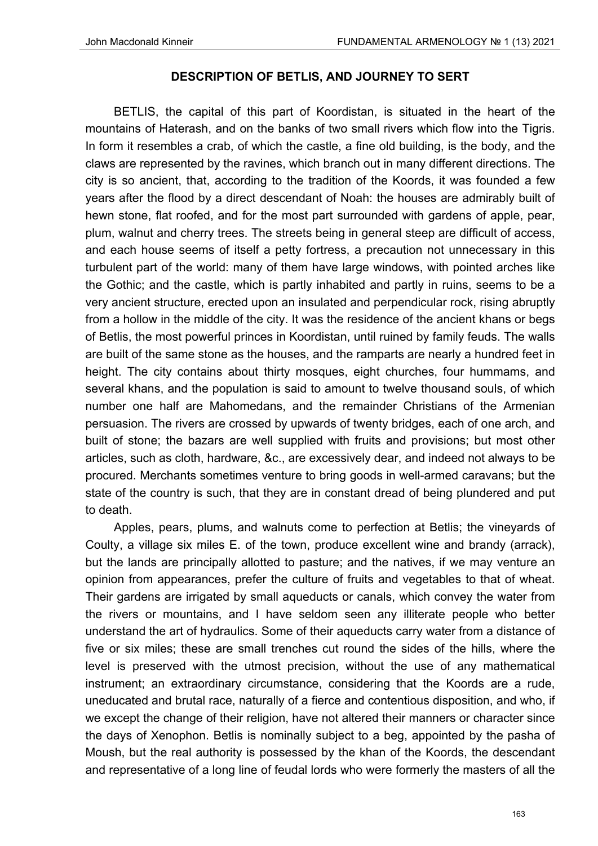# **DESCRIPTION OF BETLIS, AND JOURNEY TO SERT**

BETLIS, the capital of this part of Koordistan, is situated in the heart of the mountains of Haterash, and on the banks of two small rivers which flow into the Tigris. In form it resembles a crab, of which the castle, a fine old building, is the body, and the claws are represented by the ravines, which branch out in many different directions. The city is so ancient, that, according to the tradition of the Koords, it was founded a few years after the flood by a direct descendant of Noah: the houses are admirably built of hewn stone, flat roofed, and for the most part surrounded with gardens of apple, pear, plum, walnut and cherry trees. The streets being in general steep are difficult of access, and each house seems of itself a petty fortress, a precaution not unnecessary in this turbulent part of the world: many of them have large windows, with pointed arches like the Gothic; and the castle, which is partly inhabited and partly in ruins, seems to be a very ancient structure, erected upon an insulated and perpendicular rock, rising abruptly from a hollow in the middle of the city. It was the residence of the ancient khans or begs of Betlis, the most powerful princes in Koordistan, until ruined by family feuds. The walls are built of the same stone as the houses, and the ramparts are nearly a hundred feet in height. The city contains about thirty mosques, eight churches, four hummams, and several khans, and the population is said to amount to twelve thousand souls, of which number one half are Mahomedans, and the remainder Christians of the Armenian persuasion. The rivers are crossed by upwards of twenty bridges, each of one arch, and built of stone; the bazars are well supplied with fruits and provisions; but most other articles, such as cloth, hardware, &c., are excessively dear, and indeed not always to be procured. Merchants sometimes venture to bring goods in well-armed caravans; but the state of the country is such, that they are in constant dread of being plundered and put to death.

Apples, pears, plums, and walnuts come to perfection at Betlis; the vineyards of Coulty, a village six miles E. of the town, produce excellent wine and brandy (arrack), but the lands are principally allotted to pasture; and the natives, if we may venture an opinion from appearances, prefer the culture of fruits and vegetables to that of wheat. Their gardens are irrigated by small aqueducts or canals, which convey the water from the rivers or mountains, and I have seldom seen any illiterate people who better understand the art of hydraulics. Some of their aqueducts carry water from a distance of five or six miles; these are small trenches cut round the sides of the hills, where the level is preserved with the utmost precision, without the use of any mathematical instrument; an extraordinary circumstance, considering that the Koords are a rude, uneducated and brutal race, naturally of a fierce and contentious disposition, and who, if we except the change of their religion, have not altered their manners or character since the days of Xenophon. Betlis is nominally subject to a beg, appointed by the pasha of Moush, but the real authority is possessed by the khan of the Koords, the descendant and representative of a long line of feudal lords who were formerly the masters of all the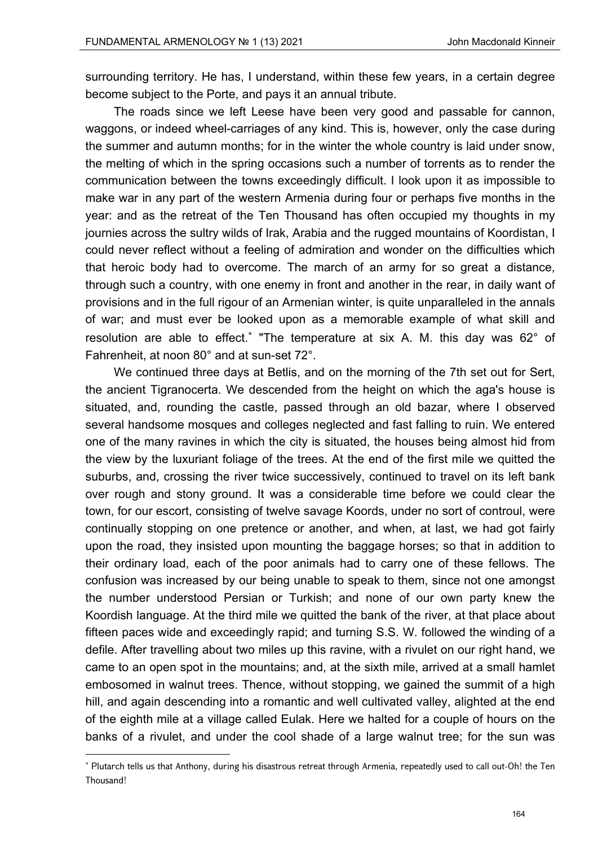surrounding territory. He has, I understand, within these few years, in a certain degree become subject to the Porte, and pays it an annual tribute.

The roads since we left Leese have been very good and passable for cannon, waggons, or indeed wheel-carriages of any kind. This is, however, only the case during the summer and autumn months; for in the winter the whole country is laid under snow, the melting of which in the spring occasions such a number of torrents as to render the communication between the towns exceedingly difficult. I look upon it as impossible to make war in any part of the western Armenia during four or perhaps five months in the year: and as the retreat of the Ten Thousand has often occupied my thoughts in my journies across the sultry wilds of Irak, Arabia and the rugged mountains of Koordistan, I could never reflect without a feeling of admiration and wonder on the difficulties which that heroic body had to overcome. The march of an army for so great a distance, through such a country, with one enemy in front and another in the rear, in daily want of provisions and in the full rigour of an Armenian winter, is quite unparalleled in the annals of war; and must ever be looked upon as a memorable example of what skill and resolution are able to effect. $*$  "The temperature at six A. M. this day was 62 $\degree$  of Fahrenheit, at noon 80° and at sun-set 72°.

We continued three days at Betlis, and on the morning of the 7th set out for Sert, the ancient Tigranocerta. We descended from the height on which the aga's house is situated, and, rounding the castle, passed through an old bazar, where I observed several handsome mosques and colleges neglected and fast falling to ruin. We entered one of the many ravines in which the city is situated, the houses being almost hid from the view by the luxuriant foliage of the trees. At the end of the first mile we quitted the suburbs, and, crossing the river twice successively, continued to travel on its left bank over rough and stony ground. It was a considerable time before we could clear the town, for our escort, consisting of twelve savage Koords, under no sort of controul, were continually stopping on one pretence or another, and when, at last, we had got fairly upon the road, they insisted upon mounting the baggage horses; so that in addition to their ordinary load, each of the poor animals had to carry one of these fellows. The confusion was increased by our being unable to speak to them, since not one amongst the number understood Persian or Turkish; and none of our own party knew the Koordish language. At the third mile we quitted the bank of the river, at that place about fifteen paces wide and exceedingly rapid; and turning S.S. W. followed the winding of a defile. After travelling about two miles up this ravine, with a rivulet on our right hand, we came to an open spot in the mountains; and, at the sixth mile, arrived at a small hamlet embosomed in walnut trees. Thence, without stopping, we gained the summit of a high hill, and again descending into a romantic and well cultivated valley, alighted at the end of the eighth mile at a village called Eulak. Here we halted for a couple of hours on the banks of a rivulet, and under the cool shade of a large walnut tree; for the sun was

<sup>\*</sup> Plutarch tells us that Anthony, during his disastrous retreat through Armenia, repeatedly used to call out-Oh! the Ten Thousand!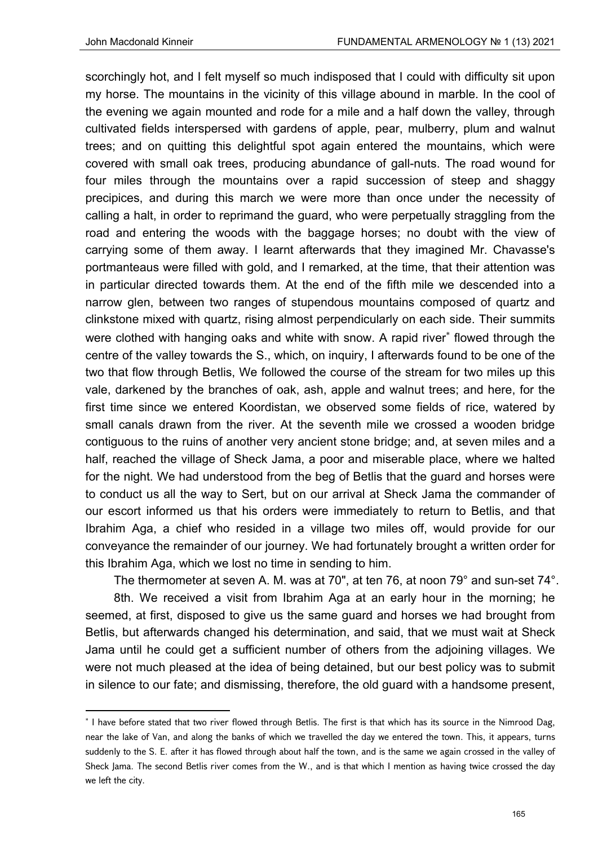scorchingly hot, and I felt myself so much indisposed that I could with difficulty sit upon my horse. The mountains in the vicinity of this village abound in marble. In the cool of the evening we again mounted and rode for a mile and a half down the valley, through cultivated fields interspersed with gardens of apple, pear, mulberry, plum and walnut trees; and on quitting this delightful spot again entered the mountains, which were covered with small oak trees, producing abundance of gall-nuts. The road wound for four miles through the mountains over a rapid succession of steep and shaggy precipices, and during this march we were more than once under the necessity of calling a halt, in order to reprimand the guard, who were perpetually straggling from the road and entering the woods with the baggage horses; no doubt with the view of carrying some of them away. I learnt afterwards that they imagined Mr. Chavasse's portmanteaus were filled with gold, and I remarked, at the time, that their attention was in particular directed towards them. At the end of the fifth mile we descended into a narrow glen, between two ranges of stupendous mountains composed of quartz and clinkstone mixed with quartz, rising almost perpendicularly on each side. Their summits were clothed with hanging oaks and white with snow. A rapid river flowed through the centre of the valley towards the S., which, on inquiry, I afterwards found to be one of the two that flow through Betlis, We followed the course of the stream for two miles up this vale, darkened by the branches of oak, ash, apple and walnut trees; and here, for the first time since we entered Koordistan, we observed some fields of rice, watered by small canals drawn from the river. At the seventh mile we crossed a wooden bridge contiguous to the ruins of another very ancient stone bridge; and, at seven miles and a half, reached the village of Sheck Jama, a poor and miserable place, where we halted for the night. We had understood from the beg of Betlis that the guard and horses were to conduct us all the way to Sert, but on our arrival at Sheck Jama the commander of our escort informed us that his orders were immediately to return to Betlis, and that Ibrahim Aga, a chief who resided in a village two miles off, would provide for our conveyance the remainder of our journey. We had fortunately brought a written order for this Ibrahim Aga, which we lost no time in sending to him.

The thermometer at seven A. M. was at 70", at ten 76, at noon 79° and sun-set 74°.

8th. We received a visit from Ibrahim Aga at an early hour in the morning; he seemed, at first, disposed to give us the same guard and horses we had brought from Betlis, but afterwards changed his determination, and said, that we must wait at Sheck Jama until he could get a sufficient number of others from the adjoining villages. We were not much pleased at the idea of being detained, but our best policy was to submit in silence to our fate; and dismissing, therefore, the old guard with a handsome present,

<sup>\*</sup> I have before stated that two river flowed through Betlis. The first is that which has its source in the Nimrood Dag, near the lake of Van, and along the banks of which we travelled the day we entered the town. This, it appears, turns suddenly to the S. E. after it has flowed through about half the town, and is the same we again crossed in the valley of Sheck Jama. The second Betlis river comes from the W., and is that which I mention as having twice crossed the day we left the city.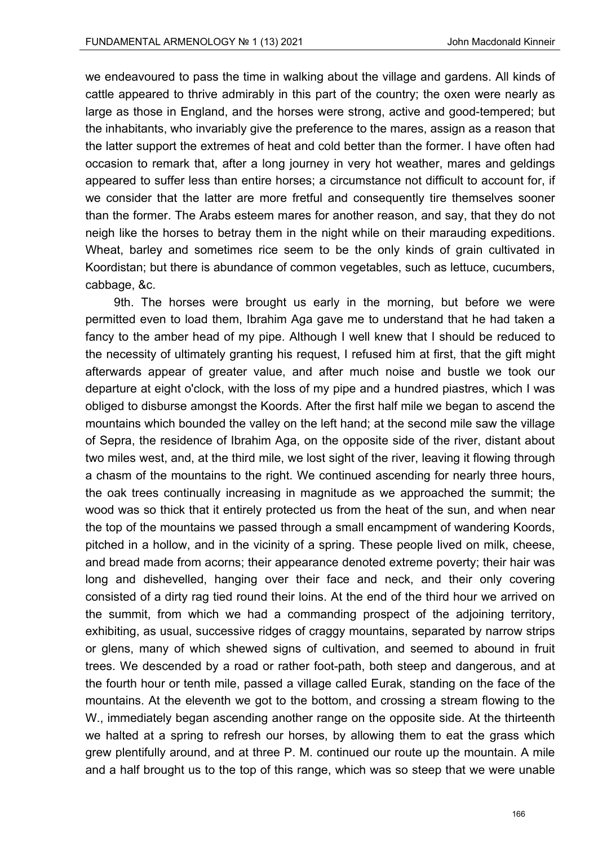we endeavoured to pass the time in walking about the village and gardens. All kinds of cattle appeared to thrive admirably in this part of the country; the oxen were nearly as large as those in England, and the horses were strong, active and good-tempered; but the inhabitants, who invariably give the preference to the mares, assign as a reason that the latter support the extremes of heat and cold better than the former. I have often had occasion to remark that, after a long journey in very hot weather, mares and geldings appeared to suffer less than entire horses; a circumstance not difficult to account for, if we consider that the latter are more fretful and consequently tire themselves sooner than the former. The Arabs esteem mares for another reason, and say, that they do not neigh like the horses to betray them in the night while on their marauding expeditions. Wheat, barley and sometimes rice seem to be the only kinds of grain cultivated in Koordistan; but there is abundance of common vegetables, such as lettuce, cucumbers, cabbage, &c.

9th. The horses were brought us early in the morning, but before we were permitted even to load them, Ibrahim Aga gave me to understand that he had taken a fancy to the amber head of my pipe. Although I well knew that I should be reduced to the necessity of ultimately granting his request, I refused him at first, that the gift might afterwards appear of greater value, and after much noise and bustle we took our departure at eight o'clock, with the loss of my pipe and a hundred piastres, which I was obliged to disburse amongst the Koords. After the first half mile we began to ascend the mountains which bounded the valley on the left hand; at the second mile saw the village of Sepra, the residence of Ibrahim Aga, on the opposite side of the river, distant about two miles west, and, at the third mile, we lost sight of the river, leaving it flowing through a chasm of the mountains to the right. We continued ascending for nearly three hours, the oak trees continually increasing in magnitude as we approached the summit; the wood was so thick that it entirely protected us from the heat of the sun, and when near the top of the mountains we passed through a small encampment of wandering Koords, pitched in a hollow, and in the vicinity of a spring. These people lived on milk, cheese, and bread made from acorns; their appearance denoted extreme poverty; their hair was long and dishevelled, hanging over their face and neck, and their only covering consisted of a dirty rag tied round their loins. At the end of the third hour we arrived on the summit, from which we had a commanding prospect of the adjoining territory, exhibiting, as usual, successive ridges of craggy mountains, separated by narrow strips or glens, many of which shewed signs of cultivation, and seemed to abound in fruit trees. We descended by a road or rather foot-path, both steep and dangerous, and at the fourth hour or tenth mile, passed a village called Eurak, standing on the face of the mountains. At the eleventh we got to the bottom, and crossing a stream flowing to the W., immediately began ascending another range on the opposite side. At the thirteenth we halted at a spring to refresh our horses, by allowing them to eat the grass which grew plentifully around, and at three P. M. continued our route up the mountain. A mile and a half brought us to the top of this range, which was so steep that we were unable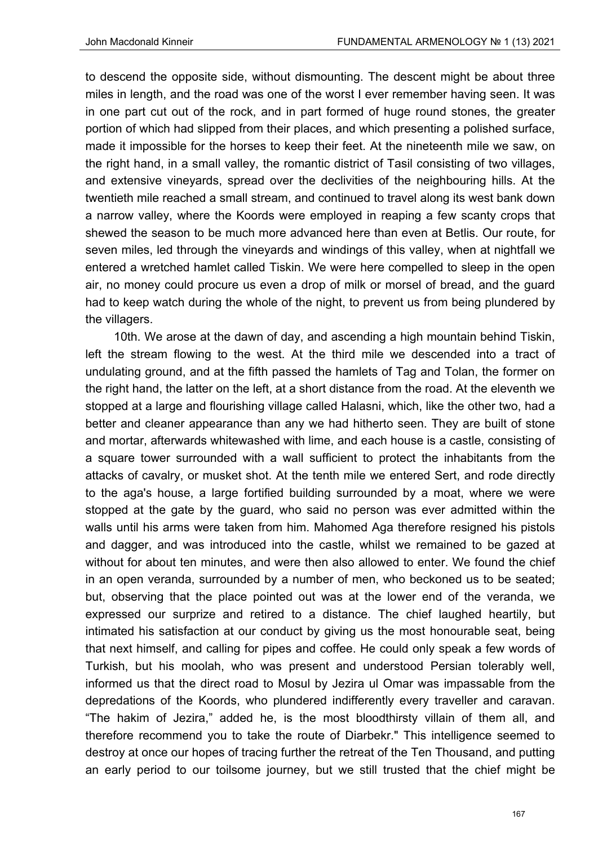to descend the opposite side, without dismounting. The descent might be about three miles in length, and the road was one of the worst I ever remember having seen. It was in one part cut out of the rock, and in part formed of huge round stones, the greater portion of which had slipped from their places, and which presenting a polished surface, made it impossible for the horses to keep their feet. At the nineteenth mile we saw, on the right hand, in a small valley, the romantic district of Tasil consisting of two villages, and extensive vineyards, spread over the declivities of the neighbouring hills. At the twentieth mile reached a small stream, and continued to travel along its west bank down a narrow valley, where the Koords were employed in reaping a few scanty crops that shewed the season to be much more advanced here than even at Betlis. Our route, for seven miles, led through the vineyards and windings of this valley, when at nightfall we entered a wretched hamlet called Tiskin. We were here compelled to sleep in the open air, no money could procure us even a drop of milk or morsel of bread, and the guard had to keep watch during the whole of the night, to prevent us from being plundered by the villagers.

10th. We arose at the dawn of day, and ascending a high mountain behind Tiskin, left the stream flowing to the west. At the third mile we descended into a tract of undulating ground, and at the fifth passed the hamlets of Tag and Tolan, the former on the right hand, the latter on the left, at a short distance from the road. At the eleventh we stopped at a large and flourishing village called Halasni, which, like the other two, had a better and cleaner appearance than any we had hitherto seen. They are built of stone and mortar, afterwards whitewashed with lime, and each house is a castle, consisting of a square tower surrounded with a wall sufficient to protect the inhabitants from the attacks of cavalry, or musket shot. At the tenth mile we entered Sert, and rode directly to the aga's house, a large fortified building surrounded by a moat, where we were stopped at the gate by the guard, who said no person was ever admitted within the walls until his arms were taken from him. Mahomed Aga therefore resigned his pistols and dagger, and was introduced into the castle, whilst we remained to be gazed at without for about ten minutes, and were then also allowed to enter. We found the chief in an open veranda, surrounded by a number of men, who beckoned us to be seated; but, observing that the place pointed out was at the lower end of the veranda, we expressed our surprize and retired to a distance. The chief laughed heartily, but intimated his satisfaction at our conduct by giving us the most honourable seat, being that next himself, and calling for pipes and coffee. He could only speak a few words of Turkish, but his moolah, who was present and understood Persian tolerably well, informed us that the direct road to Mosul by Jezira ul Omar was impassable from the depredations of the Koords, who plundered indifferently every traveller and caravan. "The hakim of Jezira," added he, is the most bloodthirsty villain of them all, and therefore recommend you to take the route of Diarbekr." This intelligence seemed to destroy at once our hopes of tracing further the retreat of the Ten Thousand, and putting an early period to our toilsome journey, but we still trusted that the chief might be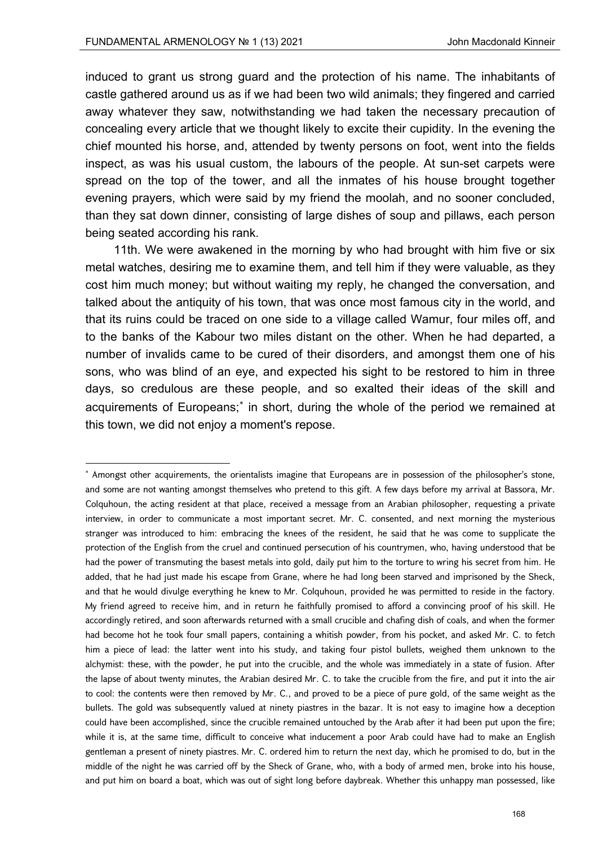induced to grant us strong guard and the protection of his name. The inhabitants of castle gathered around us as if we had been two wild animals; they fingered and carried away whatever they saw, notwithstanding we had taken the necessary precaution of concealing every article that we thought likely to excite their cupidity. In the evening the chief mounted his horse, and, attended by twenty persons on foot, went into the fields inspect, as was his usual custom, the labours of the people. At sun-set carpets were spread on the top of the tower, and all the inmates of his house brought together evening prayers, which were said by my friend the moolah, and no sooner concluded, than they sat down dinner, consisting of large dishes of soup and pillaws, each person being seated according his rank.

11th. We were awakened in the morning by who had brought with him five or six metal watches, desiring me to examine them, and tell him if they were valuable, as they cost him much money; but without waiting my reply, he changed the conversation, and talked about the antiquity of his town, that was once most famous city in the world, and that its ruins could be traced on one side to a village called Wamur, four miles off, and to the banks of the Kabour two miles distant on the other. When he had departed, a number of invalids came to be cured of their disorders, and amongst them one of his sons, who was blind of an eye, and expected his sight to be restored to him in three days, so credulous are these people, and so exalted their ideas of the skill and acquirements of Europeans;<sup>\*</sup> in short, during the whole of the period we remained at this town, we did not enjoy a moment's repose.

<sup>\*</sup> Amongst other acquirements, the orientalists imagine that Europeans are in possession of the philosopher's stone, and some are not wanting amongst themselves who pretend to this gift. A few days before my arrival at Bassora, Mr. Colquhoun, the acting resident at that place, received a message from an Arabian philosopher, requesting a private interview, in order to communicate a most important secret. Mr. C. consented, and next morning the mysterious stranger was introduced to him: embracing the knees of the resident, he said that he was come to supplicate the protection of the English from the cruel and continued persecution of his countrymen, who, having understood that be had the power of transmuting the basest metals into gold, daily put him to the torture to wring his secret from him. He added, that he had just made his escape from Grane, where he had long been starved and imprisoned by the Sheck, and that he would divulge everything he knew to Mr. Colquhoun, provided he was permitted to reside in the factory. My friend agreed to receive him, and in return he faithfully promised to afford a convincing proof of his skill. He accordingly retired, and soon afterwards returned with a small crucible and chafing dish of coals, and when the former had become hot he took four small papers, containing a whitish powder, from his pocket, and asked Mr. C. to fetch him a piece of lead: the latter went into his study, and taking four pistol bullets, weighed them unknown to the alchymist: these, with the powder, he put into the crucible, and the whole was immediately in a state of fusion. After the lapse of about twenty minutes, the Arabian desired Mr. C. to take the crucible from the fire, and put it into the air to cool: the contents were then removed by Mr. C., and proved to be a piece of pure gold, of the same weight as the bullets. The gold was subsequently valued at ninety piastres in the bazar. It is not easy to imagine how a deception could have been accomplished, since the crucible remained untouched by the Arab after it had been put upon the fire; while it is, at the same time, difficult to conceive what inducement a poor Arab could have had to make an English gentleman a present of ninety piastres. Mr. C. ordered him to return the next day, which he promised to do, but in the middle of the night he was carried off by the Sheck of Grane, who, with a body of armed men, broke into his house, and put him on board a boat, which was out of sight long before daybreak. Whether this unhappy man possessed, like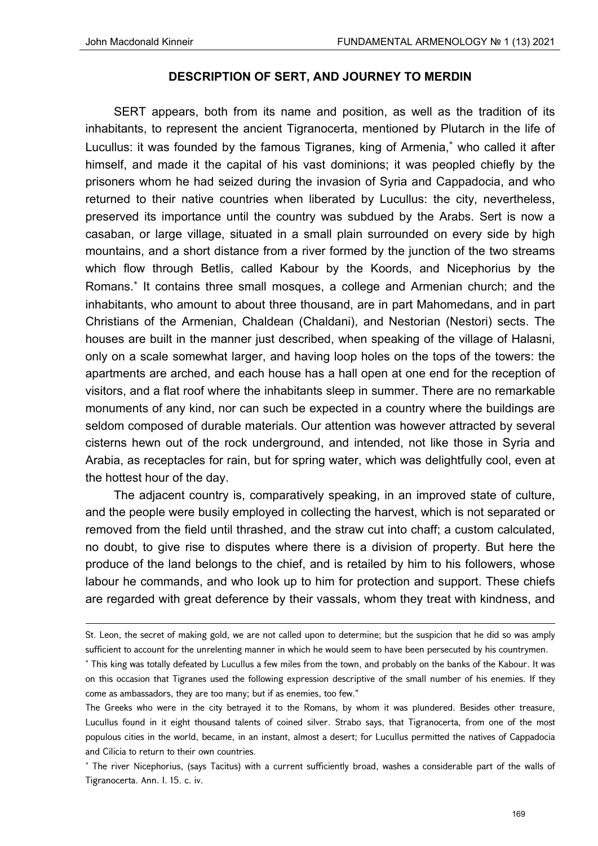### **DESCRIPTION OF SERT, AND JOURNEY TO MERDIN**

SERT appears, both from its name and position, as well as the tradition of its inhabitants, to represent the ancient Tigranocerta, mentioned by Plutarch in the life of Lucullus: it was founded by the famous Tigranes, king of Armenia, who called it after himself, and made it the capital of his vast dominions; it was peopled chiefly by the prisoners whom he had seized during the invasion of Syria and Cappadocia, and who returned to their native countries when liberated by Lucullus: the city, nevertheless, preserved its importance until the country was subdued by the Arabs. Sert is now a casaban, or large village, situated in a small plain surrounded on every side by high mountains, and a short distance from a river formed by the junction of the two streams which flow through Betlis, called Kabour by the Koords, and Nicephorius by the Romans. It contains three small mosques, a college and Armenian church; and the inhabitants, who amount to about three thousand, are in part Mahomedans, and in part Christians of the Armenian, Chaldean (Chaldani), and Nestorian (Nestori) sects. The houses are built in the manner just described, when speaking of the village of Halasni, only on a scale somewhat larger, and having loop holes on the tops of the towers: the apartments are arched, and each house has a hall open at one end for the reception of visitors, and a flat roof where the inhabitants sleep in summer. There are no remarkable monuments of any kind, nor can such be expected in a country where the buildings are seldom composed of durable materials. Our attention was however attracted by several cisterns hewn out of the rock underground, and intended, not like those in Syria and Arabia, as receptacles for rain, but for spring water, which was delightfully cool, even at the hottest hour of the day.

The adjacent country is, comparatively speaking, in an improved state of culture, and the people were busily employed in collecting the harvest, which is not separated or removed from the field until thrashed, and the straw cut into chaff; a custom calculated, no doubt, to give rise to disputes where there is a division of property. But here the produce of the land belongs to the chief, and is retailed by him to his followers, whose labour he commands, and who look up to him for protection and support. These chiefs are regarded with great deference by their vassals, whom they treat with kindness, and

<u> Andrewski politika (za obrazu pod predsjednika u predsjednika u predsjednika u predsjednika (za obrazu pod p</u>

St. Leon, the secret of making gold, we are not called upon to determine; but the suspicion that he did so was amply sufficient to account for the unrelenting manner in which he would seem to have been persecuted by his countrymen.

 This king was totally defeated by Lucullus a few miles from the town, and probably on the banks of the Kabour. It was on this occasion that Tigranes used the following expression descriptive of the small number of his enemies. If they come as ambassadors, they are too many; but if as enemies, too few."

The Greeks who were in the city betrayed it to the Romans, by whom it was plundered. Besides other treasure, Lucullus found in it eight thousand talents of coined silver. Strabo says, that Tigranocerta, from one of the most populous cities in the world, became, in an instant, almost a desert; for Lucullus permitted the natives of Cappadocia and Cilicia to return to their own countries.

 The river Nicephorius, (says Tacitus) with a current sufficiently broad, washes a considerable part of the walls of Tigranocerta. Ann. I. 15. c. iv.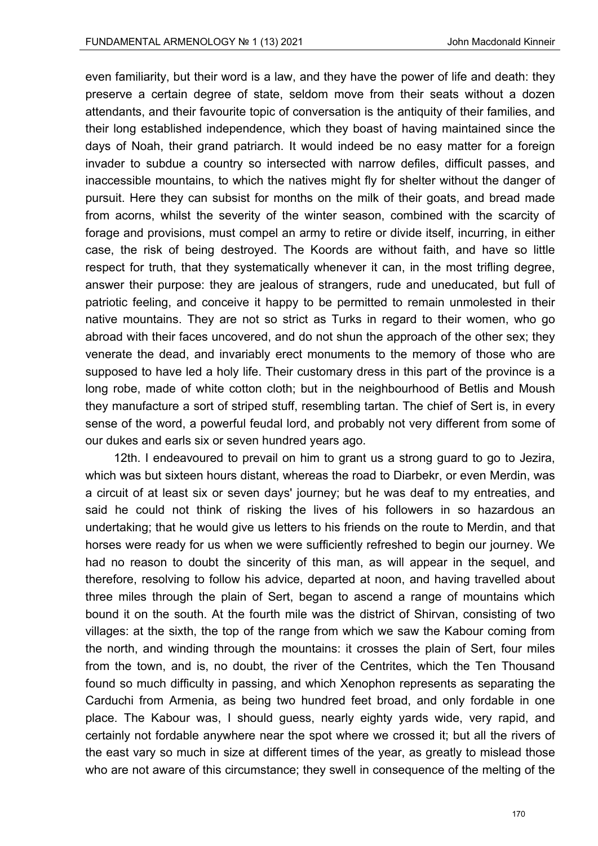even familiarity, but their word is a law, and they have the power of life and death: they preserve a certain degree of state, seldom move from their seats without a dozen attendants, and their favourite topic of conversation is the antiquity of their families, and their long established independence, which they boast of having maintained since the days of Noah, their grand patriarch. It would indeed be no easy matter for a foreign invader to subdue a country so intersected with narrow defiles, difficult passes, and inaccessible mountains, to which the natives might fly for shelter without the danger of pursuit. Here they can subsist for months on the milk of their goats, and bread made from acorns, whilst the severity of the winter season, combined with the scarcity of forage and provisions, must compel an army to retire or divide itself, incurring, in either case, the risk of being destroyed. The Koords are without faith, and have so little respect for truth, that they systematically whenever it can, in the most trifling degree, answer their purpose: they are jealous of strangers, rude and uneducated, but full of patriotic feeling, and conceive it happy to be permitted to remain unmolested in their native mountains. They are not so strict as Turks in regard to their women, who go abroad with their faces uncovered, and do not shun the approach of the other sex; they venerate the dead, and invariably erect monuments to the memory of those who are supposed to have led a holy life. Their customary dress in this part of the province is a long robe, made of white cotton cloth; but in the neighbourhood of Betlis and Moush they manufacture a sort of striped stuff, resembling tartan. The chief of Sert is, in every sense of the word, a powerful feudal lord, and probably not very different from some of our dukes and earls six or seven hundred years ago.

12th. I endeavoured to prevail on him to grant us a strong guard to go to Jezira, which was but sixteen hours distant, whereas the road to Diarbekr, or even Merdin, was a circuit of at least six or seven days' journey; but he was deaf to my entreaties, and said he could not think of risking the lives of his followers in so hazardous an undertaking; that he would give us letters to his friends on the route to Merdin, and that horses were ready for us when we were sufficiently refreshed to begin our journey. We had no reason to doubt the sincerity of this man, as will appear in the sequel, and therefore, resolving to follow his advice, departed at noon, and having travelled about three miles through the plain of Sert, began to ascend a range of mountains which bound it on the south. At the fourth mile was the district of Shirvan, consisting of two villages: at the sixth, the top of the range from which we saw the Kabour coming from the north, and winding through the mountains: it crosses the plain of Sert, four miles from the town, and is, no doubt, the river of the Centrites, which the Ten Thousand found so much difficulty in passing, and which Xenophon represents as separating the Carduchi from Armenia, as being two hundred feet broad, and only fordable in one place. The Kabour was, I should guess, nearly eighty yards wide, very rapid, and certainly not fordable anywhere near the spot where we crossed it; but all the rivers of the east vary so much in size at different times of the year, as greatly to mislead those who are not aware of this circumstance; they swell in consequence of the melting of the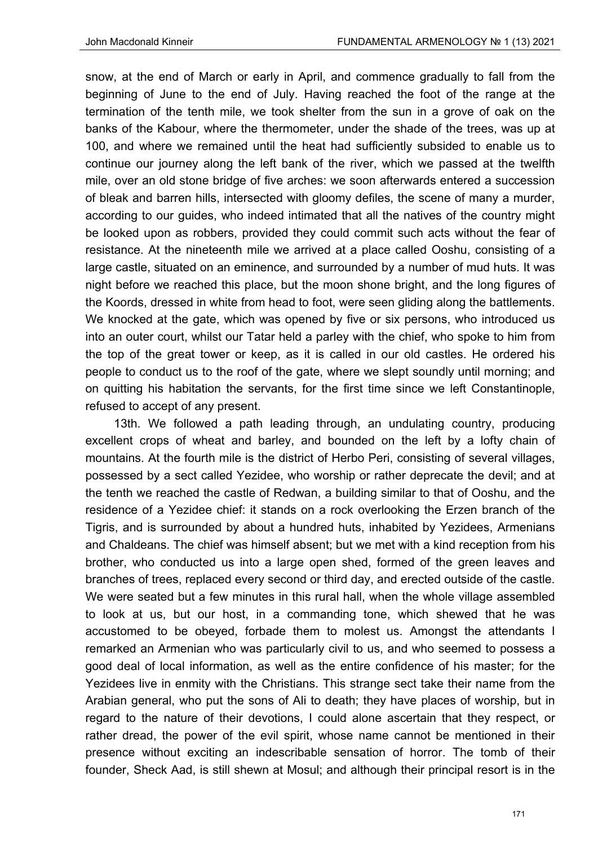snow, at the end of March or early in April, and commence gradually to fall from the beginning of June to the end of July. Having reached the foot of the range at the termination of the tenth mile, we took shelter from the sun in a grove of oak on the banks of the Kabour, where the thermometer, under the shade of the trees, was up at 100, and where we remained until the heat had sufficiently subsided to enable us to continue our journey along the left bank of the river, which we passed at the twelfth mile, over an old stone bridge of five arches: we soon afterwards entered a succession of bleak and barren hills, intersected with gloomy defiles, the scene of many a murder, according to our guides, who indeed intimated that all the natives of the country might be looked upon as robbers, provided they could commit such acts without the fear of resistance. At the nineteenth mile we arrived at a place called Ooshu, consisting of a large castle, situated on an eminence, and surrounded by a number of mud huts. It was night before we reached this place, but the moon shone bright, and the long figures of the Koords, dressed in white from head to foot, were seen gliding along the battlements. We knocked at the gate, which was opened by five or six persons, who introduced us into an outer court, whilst our Tatar held a parley with the chief, who spoke to him from the top of the great tower or keep, as it is called in our old castles. He ordered his people to conduct us to the roof of the gate, where we slept soundly until morning; and on quitting his habitation the servants, for the first time since we left Constantinople, refused to accept of any present.

13th. We followed a path leading through, an undulating country, producing excellent crops of wheat and barley, and bounded on the left by a lofty chain of mountains. At the fourth mile is the district of Herbo Peri, consisting of several villages, possessed by a sect called Yezidee, who worship or rather deprecate the devil; and at the tenth we reached the castle of Redwan, a building similar to that of Ooshu, and the residence of a Yezidee chief: it stands on a rock overlooking the Erzen branch of the Tigris, and is surrounded by about a hundred huts, inhabited by Yezidees, Armenians and Chaldeans. The chief was himself absent; but we met with a kind reception from his brother, who conducted us into a large open shed, formed of the green leaves and branches of trees, replaced every second or third day, and erected outside of the castle. We were seated but a few minutes in this rural hall, when the whole village assembled to look at us, but our host, in a commanding tone, which shewed that he was accustomed to be obeyed, forbade them to molest us. Amongst the attendants I remarked an Armenian who was particularly civil to us, and who seemed to possess a good deal of local information, as well as the entire confidence of his master; for the Yezidees live in enmity with the Christians. This strange sect take their name from the Arabian general, who put the sons of Ali to death; they have places of worship, but in regard to the nature of their devotions, I could alone ascertain that they respect, or rather dread, the power of the evil spirit, whose name cannot be mentioned in their presence without exciting an indescribable sensation of horror. The tomb of their founder, Sheck Aad, is still shewn at Mosul; and although their principal resort is in the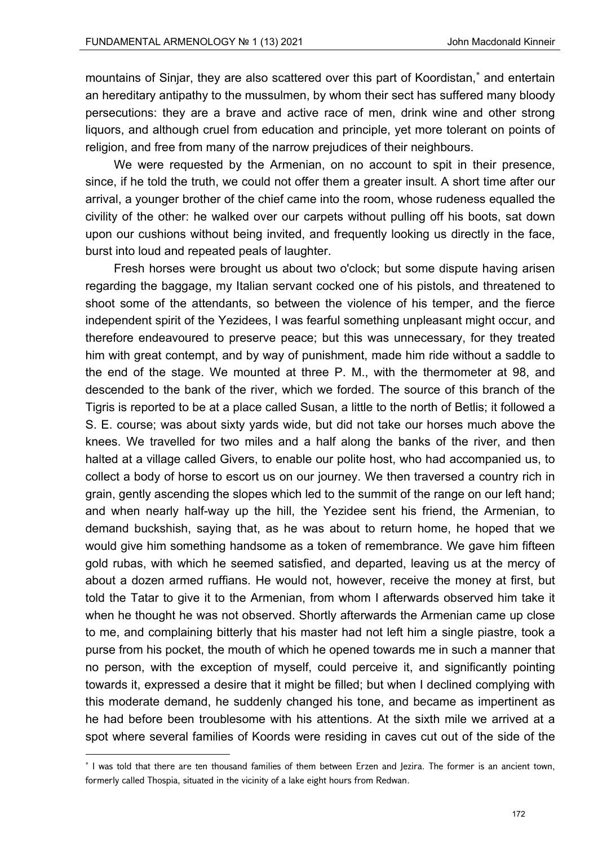mountains of Sinjar, they are also scattered over this part of Koordistan,<sup>\*</sup> and entertain an hereditary antipathy to the mussulmen, by whom their sect has suffered many bloody persecutions: they are a brave and active race of men, drink wine and other strong liquors, and although cruel from education and principle, yet more tolerant on points of religion, and free from many of the narrow prejudices of their neighbours.

We were requested by the Armenian, on no account to spit in their presence, since, if he told the truth, we could not offer them a greater insult. A short time after our arrival, a younger brother of the chief came into the room, whose rudeness equalled the civility of the other: he walked over our carpets without pulling off his boots, sat down upon our cushions without being invited, and frequently looking us directly in the face, burst into loud and repeated peals of laughter.

Fresh horses were brought us about two o'clock; but some dispute having arisen regarding the baggage, my Italian servant cocked one of his pistols, and threatened to shoot some of the attendants, so between the violence of his temper, and the fierce independent spirit of the Yezidees, I was fearful something unpleasant might occur, and therefore endeavoured to preserve peace; but this was unnecessary, for they treated him with great contempt, and by way of punishment, made him ride without a saddle to the end of the stage. We mounted at three P. M., with the thermometer at 98, and descended to the bank of the river, which we forded. The source of this branch of the Tigris is reported to be at a place called Susan, a little to the north of Betlis; it followed a S. E. course; was about sixty yards wide, but did not take our horses much above the knees. We travelled for two miles and a half along the banks of the river, and then halted at a village called Givers, to enable our polite host, who had accompanied us, to collect a body of horse to escort us on our journey. We then traversed a country rich in grain, gently ascending the slopes which led to the summit of the range on our left hand; and when nearly half-way up the hill, the Yezidee sent his friend, the Armenian, to demand buckshish, saying that, as he was about to return home, he hoped that we would give him something handsome as a token of remembrance. We gave him fifteen gold rubas, with which he seemed satisfied, and departed, leaving us at the mercy of about a dozen armed ruffians. He would not, however, receive the money at first, but told the Tatar to give it to the Armenian, from whom I afterwards observed him take it when he thought he was not observed. Shortly afterwards the Armenian came up close to me, and complaining bitterly that his master had not left him a single piastre, took a purse from his pocket, the mouth of which he opened towards me in such a manner that no person, with the exception of myself, could perceive it, and significantly pointing towards it, expressed a desire that it might be filled; but when I declined complying with this moderate demand, he suddenly changed his tone, and became as impertinent as he had before been troublesome with his attentions. At the sixth mile we arrived at a spot where several families of Koords were residing in caves cut out of the side of the

<sup>\*</sup> I was told that there are ten thousand families of them between Erzen and Jezira. The former is an ancient town, formerly called Thospia, situated in the vicinity of a lake eight hours from Redwan.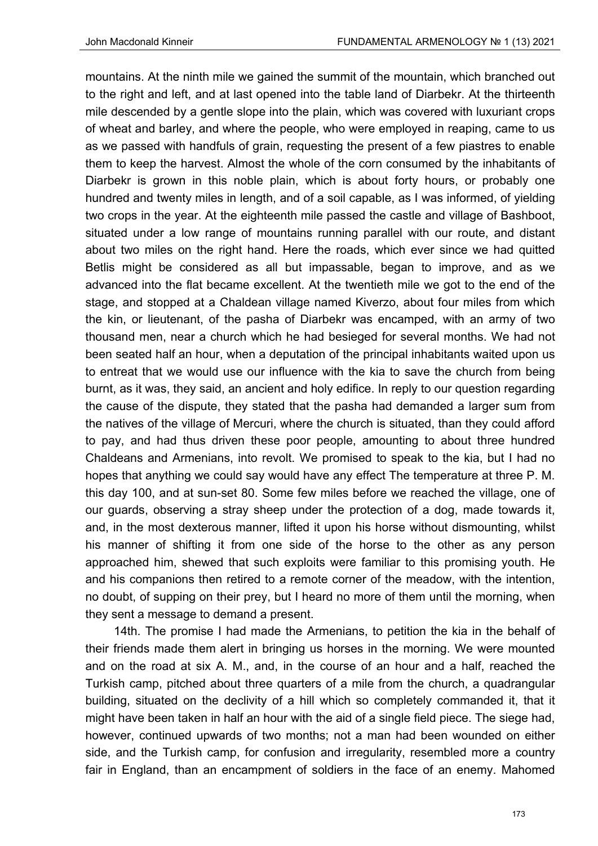mountains. At the ninth mile we gained the summit of the mountain, which branched out to the right and left, and at last opened into the table land of Diarbekr. At the thirteenth mile descended by a gentle slope into the plain, which was covered with luxuriant crops of wheat and barley, and where the people, who were employed in reaping, came to us as we passed with handfuls of grain, requesting the present of a few piastres to enable them to keep the harvest. Almost the whole of the corn consumed by the inhabitants of Diarbekr is grown in this noble plain, which is about forty hours, or probably one hundred and twenty miles in length, and of a soil capable, as I was informed, of yielding two crops in the year. At the eighteenth mile passed the castle and village of Bashboot, situated under a low range of mountains running parallel with our route, and distant about two miles on the right hand. Here the roads, which ever since we had quitted Betlis might be considered as all but impassable, began to improve, and as we advanced into the flat became excellent. At the twentieth mile we got to the end of the stage, and stopped at a Chaldean village named Kiverzo, about four miles from which the kin, or lieutenant, of the pasha of Diarbekr was encamped, with an army of two thousand men, near a church which he had besieged for several months. We had not been seated half an hour, when a deputation of the principal inhabitants waited upon us to entreat that we would use our influence with the kia to save the church from being burnt, as it was, they said, an ancient and holy edifice. In reply to our question regarding the cause of the dispute, they stated that the pasha had demanded a larger sum from the natives of the village of Mercuri, where the church is situated, than they could afford to pay, and had thus driven these poor people, amounting to about three hundred Chaldeans and Armenians, into revolt. We promised to speak to the kia, but I had no hopes that anything we could say would have any effect The temperature at three P. M. this day 100, and at sun-set 80. Some few miles before we reached the village, one of our guards, observing a stray sheep under the protection of a dog, made towards it, and, in the most dexterous manner, lifted it upon his horse without dismounting, whilst his manner of shifting it from one side of the horse to the other as any person approached him, shewed that such exploits were familiar to this promising youth. He and his companions then retired to a remote corner of the meadow, with the intention, no doubt, of supping on their prey, but I heard no more of them until the morning, when they sent a message to demand a present.

14th. The promise I had made the Armenians, to petition the kia in the behalf of their friends made them alert in bringing us horses in the morning. We were mounted and on the road at six A. M., and, in the course of an hour and a half, reached the Turkish camp, pitched about three quarters of a mile from the church, a quadrangular building, situated on the declivity of a hill which so completely commanded it, that it might have been taken in half an hour with the aid of a single field piece. The siege had, however, continued upwards of two months; not a man had been wounded on either side, and the Turkish camp, for confusion and irregularity, resembled more a country fair in England, than an encampment of soldiers in the face of an enemy. Mahomed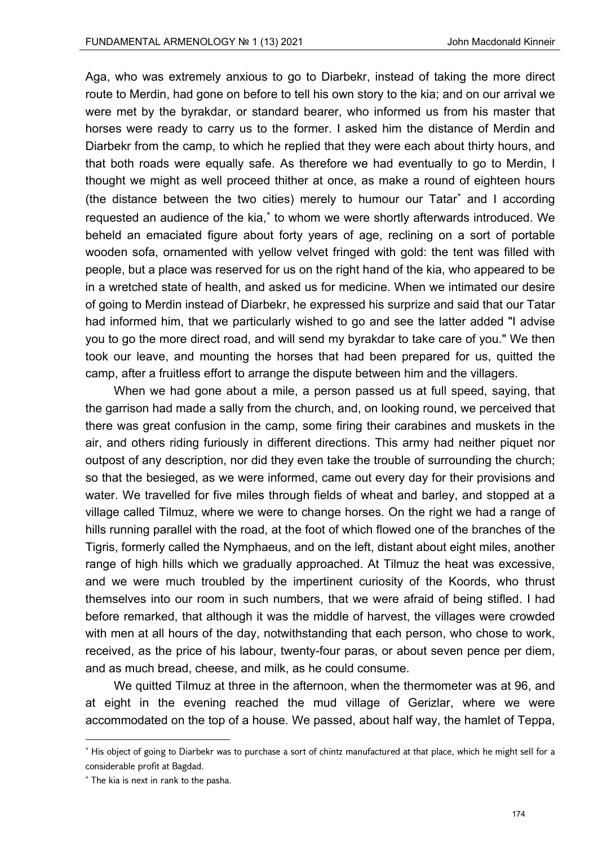Aga, who was extremely anxious to go to Diarbekr, instead of taking the more direct route to Merdin, had gone on before to tell his own story to the kia; and on our arrival we were met by the byrakdar, or standard bearer, who informed us from his master that horses were ready to carry us to the former. I asked him the distance of Merdin and Diarbekr from the camp, to which he replied that they were each about thirty hours, and that both roads were equally safe. As therefore we had eventually to go to Merdin, I thought we might as well proceed thither at once, as make a round of eighteen hours (the distance between the two cities) merely to humour our Tatar<sup>\*</sup> and I according requested an audience of the kia,<sup>\*</sup> to whom we were shortly afterwards introduced. We beheld an emaciated figure about forty years of age, reclining on a sort of portable wooden sofa, ornamented with yellow velvet fringed with gold: the tent was filled with people, but a place was reserved for us on the right hand of the kia, who appeared to be in a wretched state of health, and asked us for medicine. When we intimated our desire of going to Merdin instead of Diarbekr, he expressed his surprize and said that our Tatar had informed him, that we particularly wished to go and see the latter added "I advise you to go the more direct road, and will send my byrakdar to take care of you." We then took our leave, and mounting the horses that had been prepared for us, quitted the camp, after a fruitless effort to arrange the dispute between him and the villagers.

When we had gone about a mile, a person passed us at full speed, saying, that the garrison had made a sally from the church, and, on looking round, we perceived that there was great confusion in the camp, some firing their carabines and muskets in the air, and others riding furiously in different directions. This army had neither piquet nor outpost of any description, nor did they even take the trouble of surrounding the church; so that the besieged, as we were informed, came out every day for their provisions and water. We travelled for five miles through fields of wheat and barley, and stopped at a village called Tilmuz, where we were to change horses. On the right we had a range of hills running parallel with the road, at the foot of which flowed one of the branches of the Tigris, formerly called the Nymphaeus, and on the left, distant about eight miles, another range of high hills which we gradually approached. At Tilmuz the heat was excessive, and we were much troubled by the impertinent curiosity of the Koords, who thrust themselves into our room in such numbers, that we were afraid of being stifled. I had before remarked, that although it was the middle of harvest, the villages were crowded with men at all hours of the day, notwithstanding that each person, who chose to work, received, as the price of his labour, twenty-four paras, or about seven pence per diem, and as much bread, cheese, and milk, as he could consume.

We quitted Tilmuz at three in the afternoon, when the thermometer was at 96, and at eight in the evening reached the mud village of Gerizlar, where we were accommodated on the top of a house. We passed, about half way, the hamlet of Teppa,

<sup>\*</sup> His object of going to Diarbekr was to purchase a sort of chintz manufactured at that place, which he might sell for a considerable profit at Bagdad.

<sup>\*</sup> The kia is next in rank to the pasha.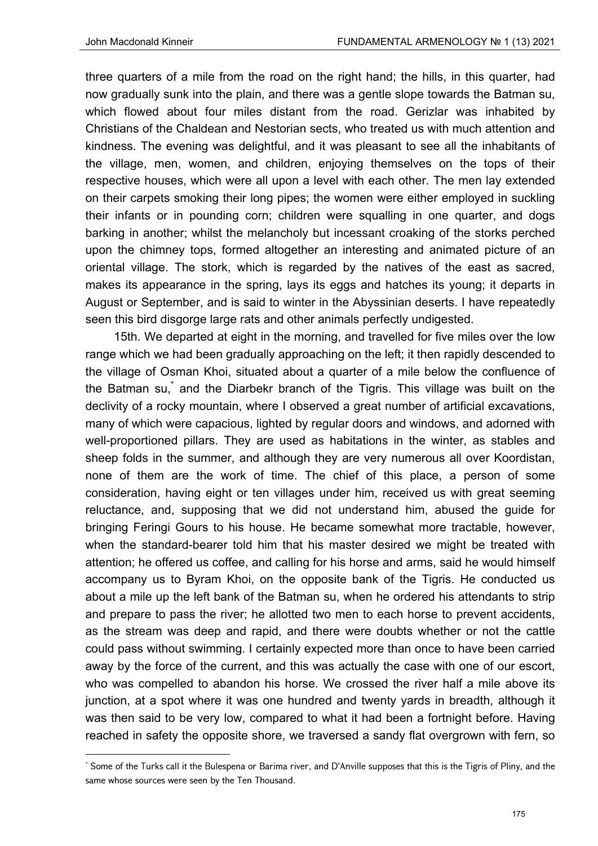three quarters of a mile from the road on the right hand; the hills, in this quarter, had now gradually sunk into the plain, and there was a gentle slope towards the Batman su, which flowed about four miles distant from the road. Gerizlar was inhabited by Christians of the Chaldean and Nestorian sects, who treated us with much attention and kindness. The evening was delightful, and it was pleasant to see all the inhabitants of the village, men, women, and children, enjoying themselves on the tops of their respective houses, which were all upon a level with each other. The men lay extended on their carpets smoking their long pipes; the women were either employed in suckling their infants or in pounding corn; children were squalling in one quarter, and dogs barking in another; whilst the melancholy but incessant croaking of the storks perched upon the chimney tops, formed altogether an interesting and animated picture of an oriental village. The stork, which is regarded by the natives of the east as sacred, makes its appearance in the spring, lays its eggs and hatches its young; it departs in August or September, and is said to winter in the Abyssinian deserts. I have repeatedly seen this bird disgorge large rats and other animals perfectly undigested.

15th. We departed at eight in the morning, and travelled for five miles over the low range which we had been gradually approaching on the left; it then rapidly descended to the village of Osman Khoi, situated about a quarter of a mile below the confluence of the Batman su, <sup>\*</sup> and the Diarbekr branch of the Tigris. This village was built on the declivity of a rocky mountain, where I observed a great number of artificial excavations, many of which were capacious, lighted by regular doors and windows, and adorned with well-proportioned pillars. They are used as habitations in the winter, as stables and sheep folds in the summer, and although they are very numerous all over Koordistan, none of them are the work of time. The chief of this place, a person of some consideration, having eight or ten villages under him, received us with great seeming reluctance, and, supposing that we did not understand him, abused the guide for bringing Feringi Gours to his house. He became somewhat more tractable, however, when the standard-bearer told him that his master desired we might be treated with attention; he offered us coffee, and calling for his horse and arms, said he would himself accompany us to Byram Khoi, on the opposite bank of the Tigris. He conducted us about a mile up the left bank of the Batman su, when he ordered his attendants to strip and prepare to pass the river; he allotted two men to each horse to prevent accidents, as the stream was deep and rapid, and there were doubts whether or not the cattle could pass without swimming. I certainly expected more than once to have been carried away by the force of the current, and this was actually the case with one of our escort, who was compelled to abandon his horse. We crossed the river half a mile above its junction, at a spot where it was one hundred and twenty yards in breadth, although it was then said to be very low, compared to what it had been a fortnight before. Having reached in safety the opposite shore, we traversed a sandy flat overgrown with fern, so

<sup>\*</sup> Some of the Turks call it the Bulespena or Barima river, and D'Anville supposes that this is the Tigris of Pliny, and the same whose sources were seen by the Ten Thousand.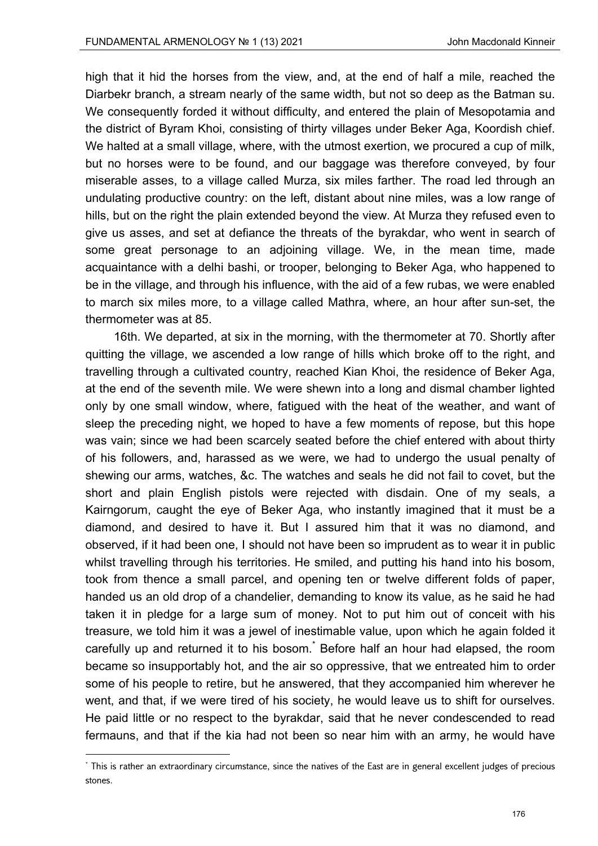high that it hid the horses from the view, and, at the end of half a mile, reached the Diarbekr branch, a stream nearly of the same width, but not so deep as the Batman su. We consequently forded it without difficulty, and entered the plain of Mesopotamia and the district of Byram Khoi, consisting of thirty villages under Beker Aga, Koordish chief. We halted at a small village, where, with the utmost exertion, we procured a cup of milk, but no horses were to be found, and our baggage was therefore conveyed, by four miserable asses, to a village called Murza, six miles farther. The road led through an undulating productive country: on the left, distant about nine miles, was a low range of hills, but on the right the plain extended beyond the view. At Murza they refused even to give us asses, and set at defiance the threats of the byrakdar, who went in search of some great personage to an adjoining village. We, in the mean time, made acquaintance with a delhi bashi, or trooper, belonging to Beker Aga, who happened to be in the village, and through his influence, with the aid of a few rubas, we were enabled to march six miles more, to a village called Mathra, where, an hour after sun-set, the thermometer was at 85.

16th. We departed, at six in the morning, with the thermometer at 70. Shortly after quitting the village, we ascended a low range of hills which broke off to the right, and travelling through a cultivated country, reached Kian Khoi, the residence of Beker Aga, at the end of the seventh mile. We were shewn into a long and dismal chamber lighted only by one small window, where, fatigued with the heat of the weather, and want of sleep the preceding night, we hoped to have a few moments of repose, but this hope was vain; since we had been scarcely seated before the chief entered with about thirty of his followers, and, harassed as we were, we had to undergo the usual penalty of shewing our arms, watches, &c. The watches and seals he did not fail to covet, but the short and plain English pistols were rejected with disdain. One of my seals, a Kairngorum, caught the eye of Beker Aga, who instantly imagined that it must be a diamond, and desired to have it. But I assured him that it was no diamond, and observed, if it had been one, I should not have been so imprudent as to wear it in public whilst travelling through his territories. He smiled, and putting his hand into his bosom, took from thence a small parcel, and opening ten or twelve different folds of paper, handed us an old drop of a chandelier, demanding to know its value, as he said he had taken it in pledge for a large sum of money. Not to put him out of conceit with his treasure, we told him it was a jewel of inestimable value, upon which he again folded it carefully up and returned it to his bosom.<sup>\*</sup> Before half an hour had elapsed, the room became so insupportably hot, and the air so oppressive, that we entreated him to order some of his people to retire, but he answered, that they accompanied him wherever he went, and that, if we were tired of his society, he would leave us to shift for ourselves. He paid little or no respect to the byrakdar, said that he never condescended to read fermauns, and that if the kia had not been so near him with an army, he would have

<sup>\*</sup> This is rather an extraordinary circumstance, since the natives of the East are in general excellent judges of precious stones.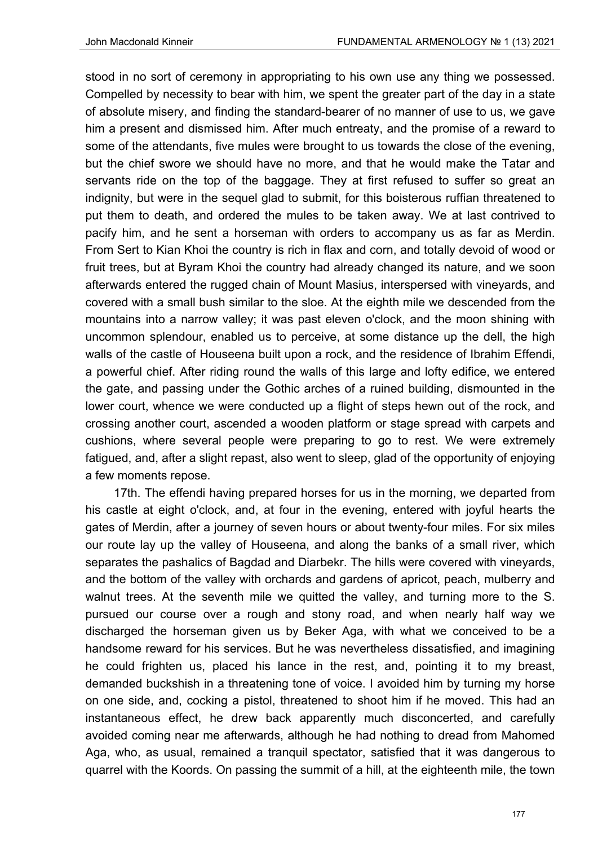stood in no sort of ceremony in appropriating to his own use any thing we possessed. Compelled by necessity to bear with him, we spent the greater part of the day in a state of absolute misery, and finding the standard-bearer of no manner of use to us, we gave him a present and dismissed him. After much entreaty, and the promise of a reward to some of the attendants, five mules were brought to us towards the close of the evening, but the chief swore we should have no more, and that he would make the Tatar and servants ride on the top of the baggage. They at first refused to suffer so great an indignity, but were in the sequel glad to submit, for this boisterous ruffian threatened to put them to death, and ordered the mules to be taken away. We at last contrived to pacify him, and he sent a horseman with orders to accompany us as far as Merdin. From Sert to Kian Khoi the country is rich in flax and corn, and totally devoid of wood or fruit trees, but at Byram Khoi the country had already changed its nature, and we soon afterwards entered the rugged chain of Mount Masius, interspersed with vineyards, and covered with a small bush similar to the sloe. At the eighth mile we descended from the mountains into a narrow valley; it was past eleven o'clock, and the moon shining with uncommon splendour, enabled us to perceive, at some distance up the dell, the high walls of the castle of Houseena built upon a rock, and the residence of Ibrahim Effendi, a powerful chief. After riding round the walls of this large and lofty edifice, we entered the gate, and passing under the Gothic arches of a ruined building, dismounted in the lower court, whence we were conducted up a flight of steps hewn out of the rock, and crossing another court, ascended a wooden platform or stage spread with carpets and cushions, where several people were preparing to go to rest. We were extremely fatigued, and, after a slight repast, also went to sleep, glad of the opportunity of enjoying a few moments repose.

17th. The effendi having prepared horses for us in the morning, we departed from his castle at eight o'clock, and, at four in the evening, entered with joyful hearts the gates of Merdin, after a journey of seven hours or about twenty-four miles. For six miles our route lay up the valley of Houseena, and along the banks of a small river, which separates the pashalics of Bagdad and Diarbekr. The hills were covered with vineyards, and the bottom of the valley with orchards and gardens of apricot, peach, mulberry and walnut trees. At the seventh mile we quitted the valley, and turning more to the S. pursued our course over a rough and stony road, and when nearly half way we discharged the horseman given us by Beker Aga, with what we conceived to be a handsome reward for his services. But he was nevertheless dissatisfied, and imagining he could frighten us, placed his lance in the rest, and, pointing it to my breast, demanded buckshish in a threatening tone of voice. I avoided him by turning my horse on one side, and, cocking a pistol, threatened to shoot him if he moved. This had an instantaneous effect, he drew back apparently much disconcerted, and carefully avoided coming near me afterwards, although he had nothing to dread from Mahomed Aga, who, as usual, remained a tranquil spectator, satisfied that it was dangerous to quarrel with the Koords. On passing the summit of a hill, at the eighteenth mile, the town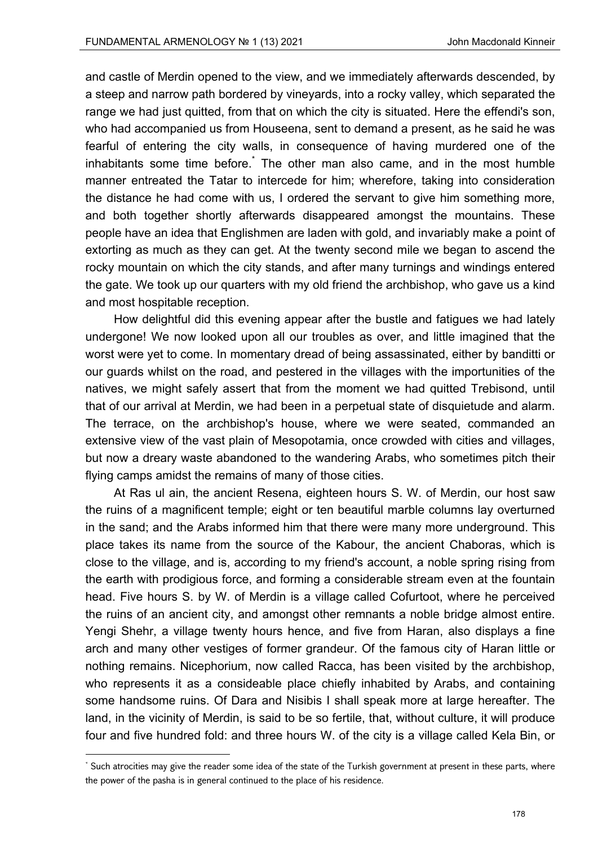and castle of Merdin opened to the view, and we immediately afterwards descended, by a steep and narrow path bordered by vineyards, into a rocky valley, which separated the range we had just quitted, from that on which the city is situated. Here the effendi's son, who had accompanied us from Houseena, sent to demand a present, as he said he was fearful of entering the city walls, in consequence of having murdered one of the inhabitants some time before.<sup>\*</sup> The other man also came, and in the most humble manner entreated the Tatar to intercede for him; wherefore, taking into consideration the distance he had come with us, I ordered the servant to give him something more, and both together shortly afterwards disappeared amongst the mountains. These people have an idea that Englishmen are laden with gold, and invariably make a point of extorting as much as they can get. At the twenty second mile we began to ascend the rocky mountain on which the city stands, and after many turnings and windings entered the gate. We took up our quarters with my old friend the archbishop, who gave us a kind and most hospitable reception.

How delightful did this evening appear after the bustle and fatigues we had lately undergone! We now looked upon all our troubles as over, and little imagined that the worst were yet to come. In momentary dread of being assassinated, either by banditti or our guards whilst on the road, and pestered in the villages with the importunities of the natives, we might safely assert that from the moment we had quitted Trebisond, until that of our arrival at Merdin, we had been in a perpetual state of disquietude and alarm. The terrace, on the archbishop's house, where we were seated, commanded an extensive view of the vast plain of Mesopotamia, once crowded with cities and villages, but now a dreary waste abandoned to the wandering Arabs, who sometimes pitch their flying camps amidst the remains of many of those cities.

At Ras ul ain, the ancient Resena, eighteen hours S. W. of Merdin, our host saw the ruins of a magnificent temple; eight or ten beautiful marble columns lay overturned in the sand; and the Arabs informed him that there were many more underground. This place takes its name from the source of the Kabour, the ancient Chaboras, which is close to the village, and is, according to my friend's account, a noble spring rising from the earth with prodigious force, and forming a considerable stream even at the fountain head. Five hours S. by W. of Merdin is a village called Cofurtoot, where he perceived the ruins of an ancient city, and amongst other remnants a noble bridge almost entire. Yengi Shehr, a village twenty hours hence, and five from Haran, also displays a fine arch and many other vestiges of former grandeur. Of the famous city of Haran little or nothing remains. Nicephorium, now called Racca, has been visited by the archbishop, who represents it as a consideable place chiefly inhabited by Arabs, and containing some handsome ruins. Of Dara and Nisibis I shall speak more at large hereafter. The land, in the vicinity of Merdin, is said to be so fertile, that, without culture, it will produce four and five hundred fold: and three hours W. of the city is a village called Kela Bin, or

<sup>\*</sup> Such atrocities may give the reader some idea of the state of the Turkish government at present in these parts, where the power of the pasha is in general continued to the place of his residence.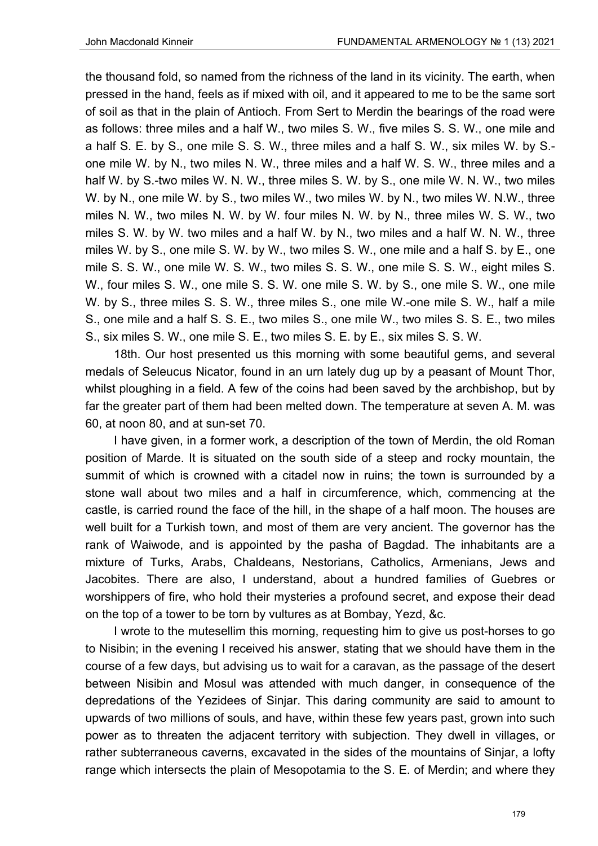the thousand fold, so named from the richness of the land in its vicinity. The earth, when pressed in the hand, feels as if mixed with oil, and it appeared to me to be the same sort of soil as that in the plain of Antioch. From Sert to Merdin the bearings of the road were as follows: three miles and a half W., two miles S. W., five miles S. S. W., one mile and a half S. E. by S., one mile S. S. W., three miles and a half S. W., six miles W. by S. one mile W. by N., two miles N. W., three miles and a half W. S. W., three miles and a half W. by S.-two miles W. N. W., three miles S. W. by S., one mile W. N. W., two miles W. by N., one mile W. by S., two miles W., two miles W. by N., two miles W. N.W., three miles N. W., two miles N. W. by W. four miles N. W. by N., three miles W. S. W., two miles S. W. by W. two miles and a half W. by N., two miles and a half W. N. W., three miles W. by S., one mile S. W. by W., two miles S. W., one mile and a half S. by E., one mile S. S. W., one mile W. S. W., two miles S. S. W., one mile S. S. W., eight miles S. W., four miles S. W., one mile S. S. W. one mile S. W. by S., one mile S. W., one mile W. by S., three miles S. S. W., three miles S., one mile W.-one mile S. W., half a mile S., one mile and a half S. S. E., two miles S., one mile W., two miles S. S. E., two miles S., six miles S. W., one mile S. E., two miles S. E. by E., six miles S. S. W.

18th. Our host presented us this morning with some beautiful gems, and several medals of Seleucus Nicator, found in an urn lately dug up by a peasant of Mount Thor, whilst ploughing in a field. A few of the coins had been saved by the archbishop, but by far the greater part of them had been melted down. The temperature at seven A. M. was 60, at noon 80, and at sun-set 70.

I have given, in a former work, a description of the town of Merdin, the old Roman position of Marde. It is situated on the south side of a steep and rocky mountain, the summit of which is crowned with a citadel now in ruins; the town is surrounded by a stone wall about two miles and a half in circumference, which, commencing at the castle, is carried round the face of the hill, in the shape of a half moon. The houses are well built for a Turkish town, and most of them are very ancient. The governor has the rank of Waiwode, and is appointed by the pasha of Bagdad. The inhabitants are a mixture of Turks, Arabs, Chaldeans, Nestorians, Catholics, Armenians, Jews and Jacobites. There are also, I understand, about a hundred families of Guebres or worshippers of fire, who hold their mysteries a profound secret, and expose their dead on the top of a tower to be torn by vultures as at Bombay, Yezd, &c.

I wrote to the mutesellim this morning, requesting him to give us post-horses to go to Nisibin; in the evening I received his answer, stating that we should have them in the course of a few days, but advising us to wait for a caravan, as the passage of the desert between Nisibin and Mosul was attended with much danger, in consequence of the depredations of the Yezidees of Sinjar. This daring community are said to amount to upwards of two millions of souls, and have, within these few years past, grown into such power as to threaten the adjacent territory with subjection. They dwell in villages, or rather subterraneous caverns, excavated in the sides of the mountains of Sinjar, a lofty range which intersects the plain of Mesopotamia to the S. E. of Merdin; and where they